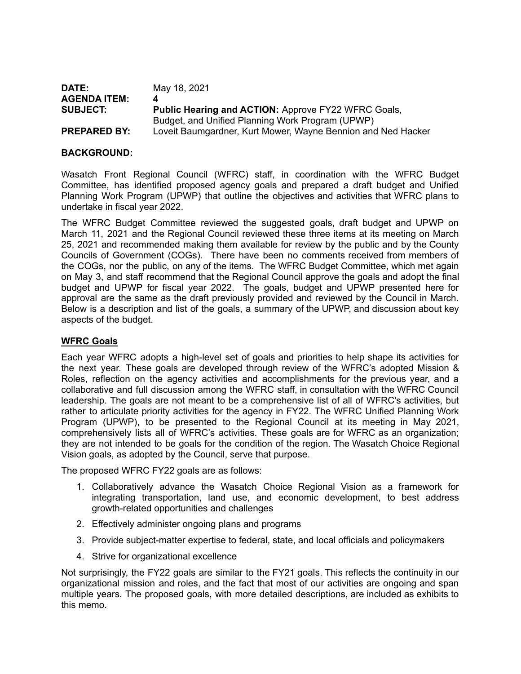| DATE:               | May 18, 2021                                                 |
|---------------------|--------------------------------------------------------------|
| <b>AGENDA ITEM:</b> |                                                              |
| <b>SUBJECT:</b>     | <b>Public Hearing and ACTION: Approve FY22 WFRC Goals,</b>   |
|                     | Budget, and Unified Planning Work Program (UPWP)             |
| <b>PREPARED BY:</b> | Loveit Baumgardner, Kurt Mower, Wayne Bennion and Ned Hacker |

#### **BACKGROUND:**

Wasatch Front Regional Council (WFRC) staff, in coordination with the WFRC Budget Committee, has identified proposed agency goals and prepared a draft budget and Unified Planning Work Program (UPWP) that outline the objectives and activities that WFRC plans to undertake in fiscal year 2022.

The WFRC Budget Committee reviewed the suggested goals, draft budget and UPWP on March 11, 2021 and the Regional Council reviewed these three items at its meeting on March 25, 2021 and recommended making them available for review by the public and by the County Councils of Government (COGs). There have been no comments received from members of the COGs, nor the public, on any of the items. The WFRC Budget Committee, which met again on May 3, and staff recommend that the Regional Council approve the goals and adopt the final budget and UPWP for fiscal year 2022. The goals, budget and UPWP presented here for approval are the same as the draft previously provided and reviewed by the Council in March. Below is a description and list of the goals, a summary of the UPWP, and discussion about key aspects of the budget.

#### **WFRC Goals**

Each year WFRC adopts a high-level set of goals and priorities to help shape its activities for the next year. These goals are developed through review of the WFRC's adopted Mission & Roles, reflection on the agency activities and accomplishments for the previous year, and a collaborative and full discussion among the WFRC staff, in consultation with the WFRC Council leadership. The goals are not meant to be a comprehensive list of all of WFRC's activities, but rather to articulate priority activities for the agency in FY22. The WFRC Unified Planning Work Program (UPWP), to be presented to the Regional Council at its meeting in May 2021, comprehensively lists all of WFRC's activities. These goals are for WFRC as an organization; they are not intended to be goals for the condition of the region. The Wasatch Choice Regional Vision goals, as adopted by the Council, serve that purpose.

The proposed WFRC FY22 goals are as follows:

- 1. Collaboratively advance the Wasatch Choice Regional Vision as a framework for integrating transportation, land use, and economic development, to best address growth-related opportunities and challenges
- 2. Effectively administer ongoing plans and programs
- 3. Provide subject-matter expertise to federal, state, and local officials and policymakers
- 4. Strive for organizational excellence

Not surprisingly, the FY22 goals are similar to the FY21 goals. This reflects the continuity in our organizational mission and roles, and the fact that most of our activities are ongoing and span multiple years. The proposed goals, with more detailed descriptions, are included as exhibits to this memo.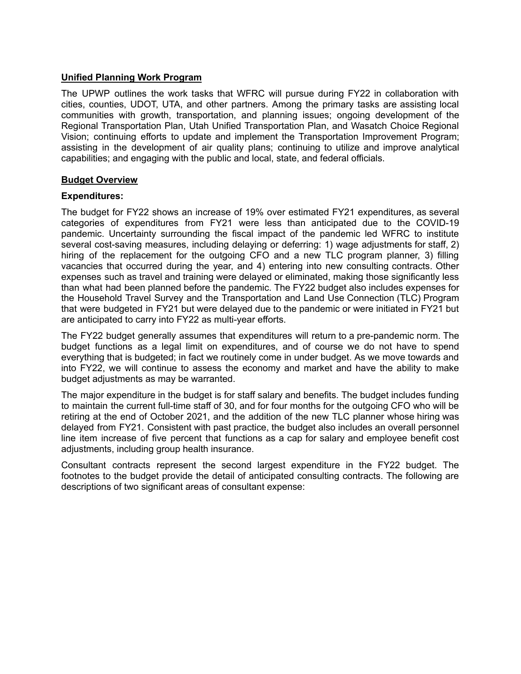#### **Unified Planning Work Program**

The UPWP outlines the work tasks that WFRC will pursue during FY22 in collaboration with cities, counties, UDOT, UTA, and other partners. Among the primary tasks are assisting local communities with growth, transportation, and planning issues; ongoing development of the Regional Transportation Plan, Utah Unified Transportation Plan, and Wasatch Choice Regional Vision; continuing efforts to update and implement the Transportation Improvement Program; assisting in the development of air quality plans; continuing to utilize and improve analytical capabilities; and engaging with the public and local, state, and federal officials.

#### **Budget Overview**

#### **Expenditures:**

The budget for FY22 shows an increase of 19% over estimated FY21 expenditures, as several categories of expenditures from FY21 were less than anticipated due to the COVID-19 pandemic. Uncertainty surrounding the fiscal impact of the pandemic led WFRC to institute several cost-saving measures, including delaying or deferring: 1) wage adjustments for staff, 2) hiring of the replacement for the outgoing CFO and a new TLC program planner, 3) filling vacancies that occurred during the year, and 4) entering into new consulting contracts. Other expenses such as travel and training were delayed or eliminated, making those significantly less than what had been planned before the pandemic. The FY22 budget also includes expenses for the Household Travel Survey and the Transportation and Land Use Connection (TLC) Program that were budgeted in FY21 but were delayed due to the pandemic or were initiated in FY21 but are anticipated to carry into FY22 as multi-year efforts.

The FY22 budget generally assumes that expenditures will return to a pre-pandemic norm. The budget functions as a legal limit on expenditures, and of course we do not have to spend everything that is budgeted; in fact we routinely come in under budget. As we move towards and into FY22, we will continue to assess the economy and market and have the ability to make budget adjustments as may be warranted.

The major expenditure in the budget is for staff salary and benefits. The budget includes funding to maintain the current full-time staff of 30, and for four months for the outgoing CFO who will be retiring at the end of October 2021, and the addition of the new TLC planner whose hiring was delayed from FY21. Consistent with past practice, the budget also includes an overall personnel line item increase of five percent that functions as a cap for salary and employee benefit cost adjustments, including group health insurance.

Consultant contracts represent the second largest expenditure in the FY22 budget. The footnotes to the budget provide the detail of anticipated consulting contracts. The following are descriptions of two significant areas of consultant expense: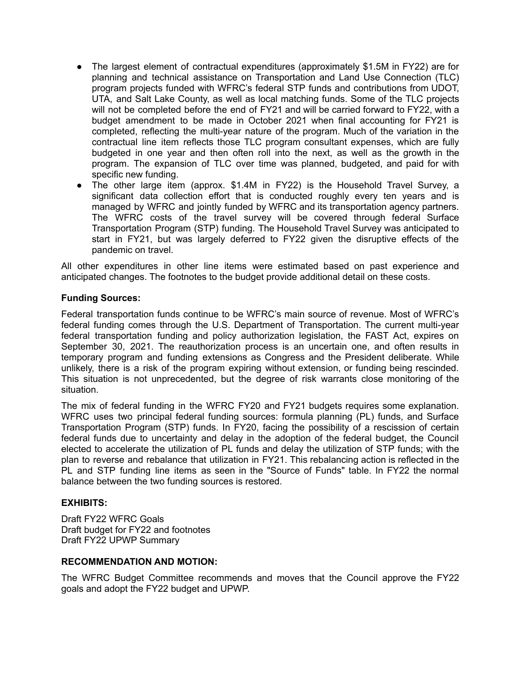- The largest element of contractual expenditures (approximately \$1.5M in FY22) are for planning and technical assistance on Transportation and Land Use Connection (TLC) program projects funded with WFRC's federal STP funds and contributions from UDOT, UTA, and Salt Lake County, as well as local matching funds. Some of the TLC projects will not be completed before the end of FY21 and will be carried forward to FY22, with a budget amendment to be made in October 2021 when final accounting for FY21 is completed, reflecting the multi-year nature of the program. Much of the variation in the contractual line item reflects those TLC program consultant expenses, which are fully budgeted in one year and then often roll into the next, as well as the growth in the program. The expansion of TLC over time was planned, budgeted, and paid for with specific new funding.
- The other large item (approx. \$1.4M in FY22) is the Household Travel Survey, a significant data collection effort that is conducted roughly every ten years and is managed by WFRC and jointly funded by WFRC and its transportation agency partners. The WFRC costs of the travel survey will be covered through federal Surface Transportation Program (STP) funding. The Household Travel Survey was anticipated to start in FY21, but was largely deferred to FY22 given the disruptive effects of the pandemic on travel.

All other expenditures in other line items were estimated based on past experience and anticipated changes. The footnotes to the budget provide additional detail on these costs.

#### **Funding Sources:**

Federal transportation funds continue to be WFRC's main source of revenue. Most of WFRC's federal funding comes through the U.S. Department of Transportation. The current multi-year federal transportation funding and policy authorization legislation, the FAST Act, expires on September 30, 2021. The reauthorization process is an uncertain one, and often results in temporary program and funding extensions as Congress and the President deliberate. While unlikely, there is a risk of the program expiring without extension, or funding being rescinded. This situation is not unprecedented, but the degree of risk warrants close monitoring of the situation.

The mix of federal funding in the WFRC FY20 and FY21 budgets requires some explanation. WFRC uses two principal federal funding sources: formula planning (PL) funds, and Surface Transportation Program (STP) funds. In FY20, facing the possibility of a rescission of certain federal funds due to uncertainty and delay in the adoption of the federal budget, the Council elected to accelerate the utilization of PL funds and delay the utilization of STP funds; with the plan to reverse and rebalance that utilization in FY21. This rebalancing action is reflected in the PL and STP funding line items as seen in the "Source of Funds" table. In FY22 the normal balance between the two funding sources is restored.

#### **EXHIBITS:**

Draft FY22 WFRC Goals Draft budget for FY22 and footnotes Draft FY22 UPWP Summary

#### **RECOMMENDATION AND MOTION:**

The WFRC Budget Committee recommends and moves that the Council approve the FY22 goals and adopt the FY22 budget and UPWP.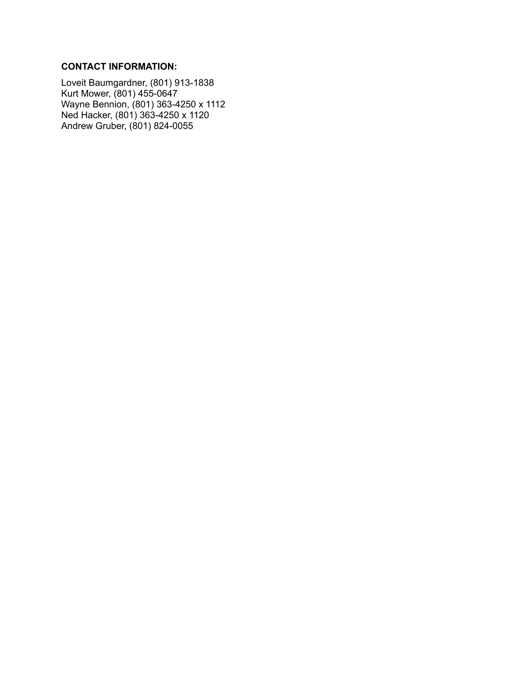#### **CONTACT INFORMATION:**

Loveit Baumgardner, (801) 913-1838 Kurt Mower, (801) 455-0647 Wayne Bennion, (801) 363-4250 x 1112 Ned Hacker, (801) 363-4250 x 1120 Andrew Gruber, (801) 824-0055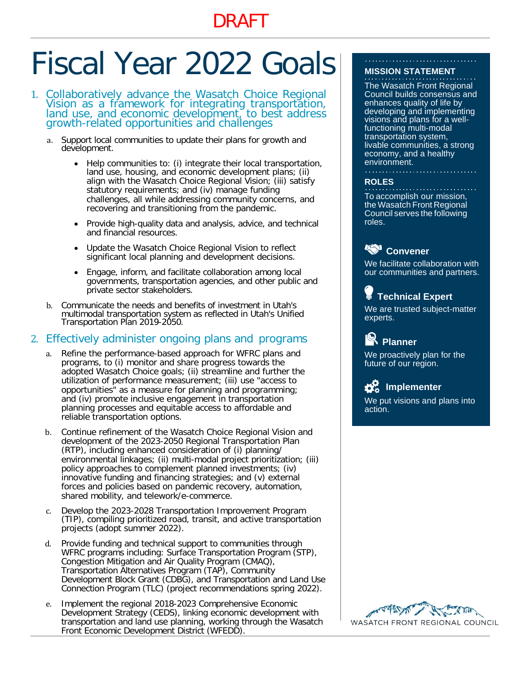# DRAFT

# Fiscal Year 2022 Goals

- 1. Collaboratively advance the Wasatch Choice Regional Vision as a framework for integrating transportation, land use, and economic development, to best address growth-related opportunities and challenges
	- a. Support local communities to update their plans for growth and development.
		- Help communities to: (i) integrate their local transportation, land use, housing, and economic development plans; (ii) align with the Wasatch Choice Regional Vision; (iii) satisfy statutory requirements; and (iv) manage funding challenges, all while addressing community concerns, and recovering and transitioning from the pandemic.
		- Provide high-quality data and analysis, advice, and technical and financial resources.
		- Update the Wasatch Choice Regional Vision to reflect significant local planning and development decisions.
		- Engage, inform, and facilitate collaboration among local governments, transportation agencies, and other public and private sector stakeholders.
	- b. Communicate the needs and benefits of investment in Utah's multimodal transportation system as reflected in Utah's Unified Transportation Plan 2019-2050.

# 2. Effectively administer ongoing plans and programs

- Refine the performance-based approach for WFRC plans and programs, to (i) monitor and share progress towards the adopted Wasatch Choice goals; (ii) streamline and further the utilization of performance measurement; (iii) use "access to opportunities" as a measure for planning and programming; and (iv) promote inclusive engagement in transportation planning processes and equitable access to affordable and reliable transportation options.
- b. Continue refinement of the Wasatch Choice Regional Vision and development of the 2023-2050 Regional Transportation Plan (RTP), including enhanced consideration of (i) planning/ environmental linkages; (ii) multi-modal project prioritization; (iii) policy approaches to complement planned investments; (iv) innovative funding and financing strategies; and (v) external forces and policies based on pandemic recovery, automation, shared mobility, and telework/e-commerce.
- c. Develop the 2023-2028 Transportation Improvement Program (TIP), compiling prioritized road, transit, and active transportation projects (adopt summer 2022).
- Provide funding and technical support to communities through WFRC programs including: Surface Transportation Program (STP), Congestion Mitigation and Air Quality Program (CMAQ), Transportation Alternatives Program (TAP), Community Development Block Grant (CDBG), and Transportation and Land Use Connection Program (TLC) (project recommendations spring 2022).
- e. Implement the regional 2018-2023 Comprehensive Economic Development Strategy (CEDS), linking economic development with transportation and land use planning, working through the Wasatch Front Economic Development District (WFEDD).

#### **MISSION STATEMENT**

The Wasatch Front Regional Council builds consensus and enhances quality of life by developing and implementing visions and plans for a wellfunctioning multi-modal transportation system, livable communities, a strong economy, and a healthy environment.

#### **ROLES**

To accomplish our mission, the Wasatch Front Regional Council serves the following roles.

# **Kan** Convener

We facilitate collaboration with our communities and partners.

# **Technical Expert**

We are trusted subject-matter experts.

# **Planner**

We proactively plan for the future of our region.

# **D**<sub>o</sub><sup>H</sup><sub>o</sub> Implementer

We put visions and plans into action.

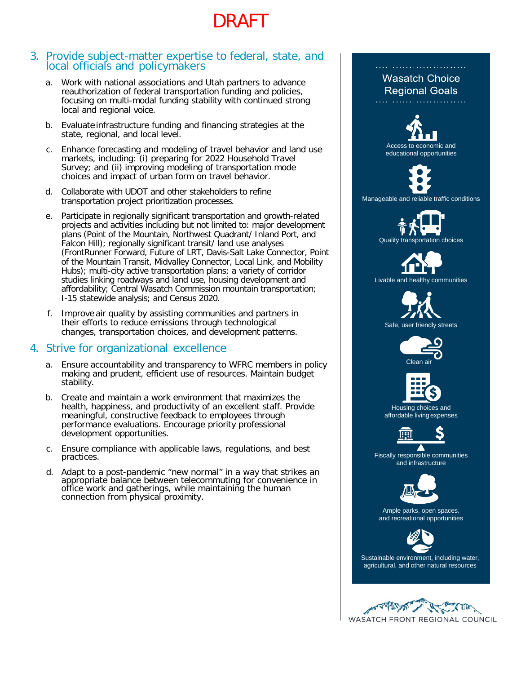# DRAFT

#### 3. Provide subject-matter expertise to federal, state, and local officials and policymakers

- a. Work with national associations and Utah partners to advance reauthorization of federal transportation funding and policies, focusing on multi-modal funding stability with continued strong local and regional voice.
- b. Evaluate infrastructure funding and financing strategies at the state, regional, and local level.
- c. Enhance forecasting and modeling of travel behavior and land use markets, including: (i) preparing for 2022 Household Travel Survey; and (ii) improving modeling of transportation mode choices and impact of urban form on travel behavior.
- d. Collaborate with UDOT and other stakeholders to refine transportation project prioritization processes.
- e. Participate in regionally significant transportation and growth-related projects and activities including but not limited to: major development plans (Point of the Mountain, Northwest Quadrant/ Inland Port, and Falcon Hill); regionally significant transit/ land use analyses (FrontRunner Forward, Future of LRT, Davis-Salt Lake Connector, Point of the Mountain Transit, Midvalley Connector, Local Link, and Mobility Hubs); multi-city active transportation plans; a variety of corridor studies linking roadways and land use, housing development and affordability; Central Wasatch Commission mountain transportation; I-15 statewide analysis; and Census 2020.
- f. Improve air quality by assisting communities and partners in their efforts to reduce emissions through technological changes, transportation choices, and development patterns.

# 4. Strive for organizational excellence

- a. Ensure accountability and transparency to WFRC members in policy making and prudent, efficient use of resources. Maintain budget stability.
- b. Create and maintain a work environment that maximizes the health, happiness, and productivity of an excellent staff. Provide meaningful, constructive feedback to employees through performance evaluations. Encourage priority professional development opportunities.
- c. Ensure compliance with applicable laws, regulations, and best practices.
- d. Adapt to a post-pandemic "new normal" in a way that strikes an appropriate balance between telecommuting for convenience in office work and gatherings, while maintaining the human connection from physical proximity.

# **Wasatch Choice Regional Goals** Access to economic and educational opportunities Manageable and reliable traffic conditions Quality transportation choices Livable and healthy communities Safe, user friendly streets Clean air Housing choices and affordable living expenses Fiscally responsible communities and infrastructure Ample parks, open spaces, and recreational opportunities Sustainable environment, including water, agricultural, and other natural resources**CTIFF** WASATCH FRONT REGIONAL COUNCIL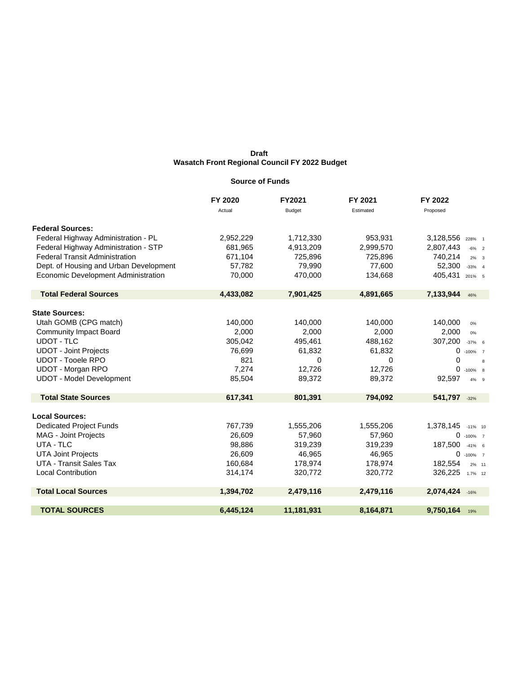#### **Source of Funds**

|                                        | FY 2020   | <b>FY2021</b> | FY 2021   | FY 2022                   |
|----------------------------------------|-----------|---------------|-----------|---------------------------|
|                                        | Actual    | <b>Budget</b> | Estimated | Proposed                  |
| <b>Federal Sources:</b>                |           |               |           |                           |
| Federal Highway Administration - PL    | 2,952,229 | 1,712,330     | 953,931   | 3,128,556 228% 1          |
| Federal Highway Administration - STP   | 681,965   | 4,913,209     | 2,999,570 | 2,807,443<br>$-6\%$ 2     |
| <b>Federal Transit Administration</b>  | 671,104   | 725,896       | 725,896   | 740,214<br>$2\% - 3$      |
| Dept. of Housing and Urban Development | 57,782    | 79,990        | 77,600    | 52,300<br>$-33%$ 4        |
| Economic Development Administration    | 70,000    | 470,000       | 134,668   | 405,431<br>201% 5         |
| <b>Total Federal Sources</b>           | 4,433,082 | 7,901,425     | 4,891,665 | 7,133,944<br>46%          |
| <b>State Sources:</b>                  |           |               |           |                           |
| Utah GOMB (CPG match)                  | 140.000   | 140,000       | 140.000   | 140,000<br>0%             |
| <b>Community Impact Board</b>          | 2,000     | 2,000         | 2,000     | 2,000<br>0%               |
| <b>UDOT - TLC</b>                      | 305,042   | 495,461       | 488,162   | 307,200<br>$-37%$ 6       |
| <b>UDOT - Joint Projects</b>           | 76,699    | 61,832        | 61,832    | 0<br>$-100\%$ 7           |
| <b>UDOT - Tooele RPO</b>               | 821       | 0             | 0         | $\Omega$<br>$\mathbf{g}$  |
| <b>UDOT - Morgan RPO</b>               | 7,274     | 12,726        | 12,726    | 0<br>$-100\%$ 8           |
| <b>UDOT - Model Development</b>        | 85,504    | 89,372        | 89,372    | 92,597<br>4% 9            |
| <b>Total State Sources</b>             | 617,341   | 801,391       | 794,092   | 541,797 -32%              |
| <b>Local Sources:</b>                  |           |               |           |                           |
| <b>Dedicated Project Funds</b>         | 767,739   | 1,555,206     | 1,555,206 | 1,378,145<br>$-11\%$ 10   |
| MAG - Joint Projects                   | 26,609    | 57,960        | 57,960    | 0<br>$-100\%$ 7           |
| UTA - TLC                              | 98,886    | 319,239       | 319,239   | 187,500<br>$-41\%$ 6      |
| <b>UTA Joint Projects</b>              | 26,609    | 46,965        | 46,965    | $\mathbf 0$<br>$-100\%$ 7 |
| UTA - Transit Sales Tax                | 160,684   | 178,974       | 178,974   | 182,554<br>2% 11          |
| <b>Local Contribution</b>              | 314,174   | 320,772       | 320,772   | 326,225 1.7% 12           |
| <b>Total Local Sources</b>             | 1,394,702 | 2,479,116     | 2,479,116 | 2,074,424 -16%            |
| <b>TOTAL SOURCES</b>                   | 6,445,124 | 11,181,931    | 8,164,871 | 9,750,164<br>19%          |
|                                        |           |               |           |                           |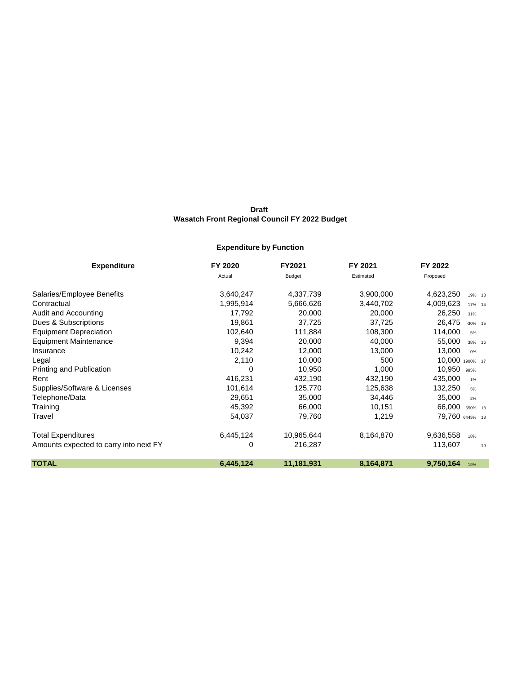## **Expenditure by Function**

| <b>Expenditure</b>                     | FY 2020   | FY2021        | FY 2021   | FY 2022              |
|----------------------------------------|-----------|---------------|-----------|----------------------|
|                                        | Actual    | <b>Budget</b> | Estimated | Proposed             |
| Salaries/Employee Benefits             | 3,640,247 | 4,337,739     | 3,900,000 | 4,623,250<br>19% 13  |
| Contractual                            | 1,995,914 | 5,666,626     | 3,440,702 | 4,009,623<br>17% 14  |
| Audit and Accounting                   | 17,792    | 20,000        | 20,000    | 26,250<br>31%        |
| Dues & Subscriptions                   | 19,861    | 37,725        | 37,725    | 26,475<br>$-30\%$ 15 |
| <b>Equipment Depreciation</b>          | 102,640   | 111,884       | 108,300   | 114,000<br>5%        |
| <b>Equipment Maintenance</b>           | 9,394     | 20,000        | 40,000    | 55,000<br>38% 16     |
| Insurance                              | 10,242    | 12,000        | 13,000    | 13,000<br>0%         |
| Legal                                  | 2,110     | 10,000        | 500       | 10,000<br>1900% 17   |
| Printing and Publication               | 0         | 10,950        | 1,000     | 10,950<br>995%       |
| Rent                                   | 416,231   | 432,190       | 432,190   | 435,000<br>1%        |
| Supplies/Software & Licenses           | 101,614   | 125,770       | 125,638   | 132,250<br>5%        |
| Telephone/Data                         | 29,651    | 35,000        | 34,446    | 35,000<br>2%         |
| Training                               | 45,392    | 66,000        | 10,151    | 66,000<br>550% 18    |
| Travel                                 | 54,037    | 79,760        | 1,219     | 79,760 6445% 18      |
| Total Expenditures                     | 6,445,124 | 10,965,644    | 8,164,870 | 9,636,558<br>18%     |
| Amounts expected to carry into next FY | 0         | 216,287       |           | 113,607<br>19        |
| <b>TOTAL</b>                           | 6,445,124 | 11,181,931    | 8,164,871 | 9,750,164<br>19%     |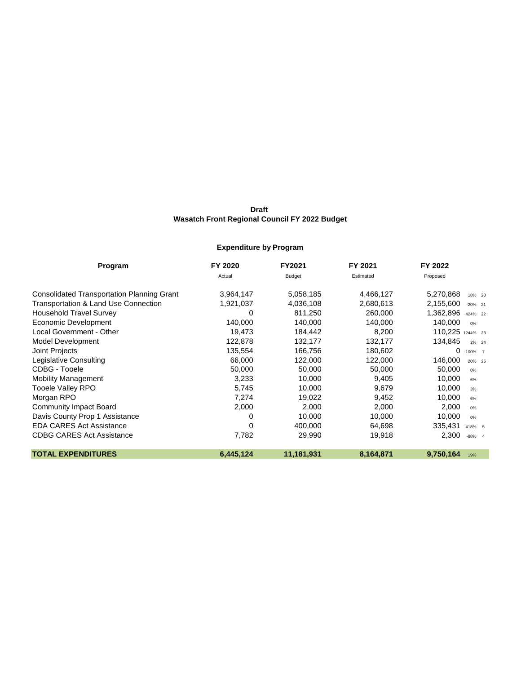## **Expenditure by Program**

| Program                                           | FY 2020   | FY2021        | FY 2021   | FY 2022                 |
|---------------------------------------------------|-----------|---------------|-----------|-------------------------|
|                                                   | Actual    | <b>Budget</b> | Estimated | Proposed                |
| <b>Consolidated Transportation Planning Grant</b> | 3,964,147 | 5,058,185     | 4,466,127 | 5,270,868<br>18% 20     |
| Transportation & Land Use Connection              | 1,921,037 | 4,036,108     | 2,680,613 | 2,155,600<br>$-20\%$ 21 |
| <b>Household Travel Survey</b>                    | 0         | 811,250       | 260,000   | 1,362,896<br>424% 22    |
| Economic Development                              | 140,000   | 140,000       | 140,000   | 140,000<br>0%           |
| Local Government - Other                          | 19,473    | 184,442       | 8,200     | 110,225<br>1244% 23     |
| Model Development                                 | 122,878   | 132,177       | 132,177   | 134,845<br>2% 24        |
| Joint Projects                                    | 135,554   | 166,756       | 180,602   | 0<br>$-100\%$ 7         |
| Legislative Consulting                            | 66,000    | 122,000       | 122,000   | 146,000<br>20% 25       |
| CDBG - Tooele                                     | 50,000    | 50,000        | 50,000    | 50,000<br>0%            |
| <b>Mobility Management</b>                        | 3,233     | 10,000        | 9,405     | 10,000<br>6%            |
| <b>Tooele Valley RPO</b>                          | 5,745     | 10,000        | 9,679     | 10,000<br>3%            |
| Morgan RPO                                        | 7,274     | 19,022        | 9,452     | 10,000<br>6%            |
| <b>Community Impact Board</b>                     | 2,000     | 2,000         | 2,000     | 2,000<br>0%             |
| Davis County Prop 1 Assistance                    | 0         | 10,000        | 10,000    | 10,000<br>0%            |
| <b>EDA CARES Act Assistance</b>                   | 0         | 400,000       | 64,698    | 335,431<br>418% 5       |
| <b>CDBG CARES Act Assistance</b>                  | 7,782     | 29,990        | 19,918    | 2,300<br>$-88%$ 4       |
| <b>TOTAL EXPENDITURES</b>                         | 6,445,124 | 11,181,931    | 8,164,871 | 9,750,164<br>19%        |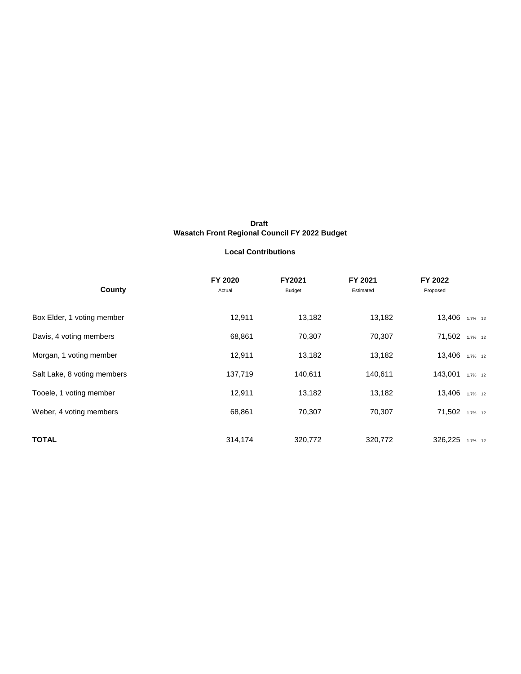#### **Local Contributions**

| County                      | FY 2020<br>Actual | FY2021<br>Budget | FY 2021<br>Estimated | FY 2022<br>Proposed |
|-----------------------------|-------------------|------------------|----------------------|---------------------|
| Box Elder, 1 voting member  | 12,911            | 13,182           | 13,182               | 13,406 1.7% 12      |
| Davis, 4 voting members     | 68,861            | 70,307           | 70,307               | 71,502 1.7% 12      |
| Morgan, 1 voting member     | 12,911            | 13,182           | 13,182               | 13,406 1.7% 12      |
| Salt Lake, 8 voting members | 137,719           | 140,611          | 140,611              | 143,001<br>1.7% 12  |
| Tooele, 1 voting member     | 12,911            | 13,182           | 13,182               | 13,406 1.7% 12      |
| Weber, 4 voting members     | 68,861            | 70,307           | 70,307               | 71,502 1.7% 12      |
| <b>TOTAL</b>                | 314,174           | 320,772          | 320,772              | 326,225<br>1.7% 12  |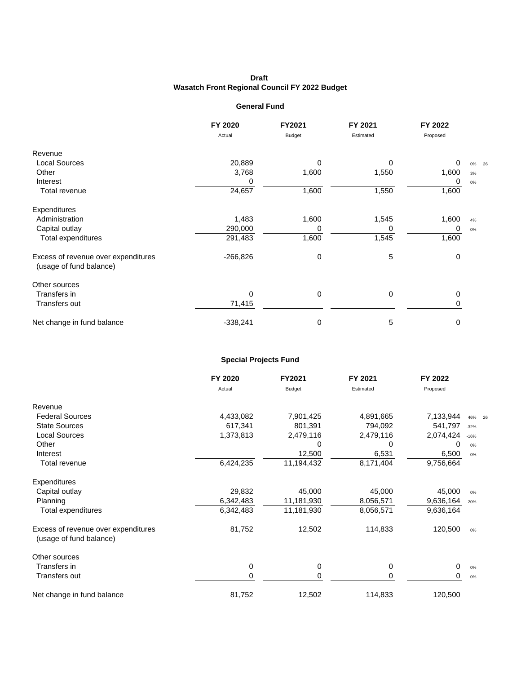#### **General Fund**

|                                                                | FY 2020    | FY2021        | FY 2021   | FY 2022  |       |
|----------------------------------------------------------------|------------|---------------|-----------|----------|-------|
|                                                                | Actual     | <b>Budget</b> | Estimated | Proposed |       |
| Revenue                                                        |            |               |           |          |       |
| <b>Local Sources</b>                                           | 20,889     | O             | 0         | 0        | 0% 26 |
| Other                                                          | 3,768      | 1,600         | 1,550     | 1,600    | 3%    |
| Interest                                                       | 0          |               |           | 0        | $0\%$ |
| Total revenue                                                  | 24,657     | 1,600         | 1,550     | 1,600    |       |
| Expenditures                                                   |            |               |           |          |       |
| Administration                                                 | 1,483      | 1,600         | 1,545     | 1,600    | 4%    |
| Capital outlay                                                 | 290,000    | 0             | 0         | 0        | 0%    |
| Total expenditures                                             | 291,483    | 1,600         | 1,545     | 1,600    |       |
| Excess of revenue over expenditures<br>(usage of fund balance) | $-266,826$ | 0             | 5         | 0        |       |
| Other sources                                                  |            |               |           |          |       |
| Transfers in                                                   | 0          | 0             | 0         | 0        |       |
| Transfers out                                                  | 71,415     |               |           | 0        |       |
| Net change in fund balance                                     | $-338,241$ | 0             | 5         | 0        |       |

#### **Special Projects Fund**

|                                                                | FY 2020   | FY2021        | FY 2021   | FY 2022   |        |
|----------------------------------------------------------------|-----------|---------------|-----------|-----------|--------|
|                                                                | Actual    | <b>Budget</b> | Estimated | Proposed  |        |
| Revenue                                                        |           |               |           |           |        |
| <b>Federal Sources</b>                                         | 4,433,082 | 7,901,425     | 4,891,665 | 7,133,944 | 46% 26 |
| <b>State Sources</b>                                           | 617,341   | 801,391       | 794,092   | 541,797   | $-32%$ |
| <b>Local Sources</b>                                           | 1,373,813 | 2,479,116     | 2,479,116 | 2,074,424 | $-16%$ |
| Other                                                          |           | 0             | 0         | 0         | 0%     |
| Interest                                                       |           | 12,500        | 6,531     | 6,500     | 0%     |
| Total revenue                                                  | 6,424,235 | 11,194,432    | 8,171,404 | 9,756,664 |        |
| Expenditures                                                   |           |               |           |           |        |
| Capital outlay                                                 | 29,832    | 45,000        | 45,000    | 45,000    | 0%     |
| Planning                                                       | 6,342,483 | 11,181,930    | 8,056,571 | 9,636,164 | 20%    |
| Total expenditures                                             | 6,342,483 | 11,181,930    | 8,056,571 | 9,636,164 |        |
| Excess of revenue over expenditures<br>(usage of fund balance) | 81,752    | 12,502        | 114,833   | 120,500   | 0%     |
| Other sources                                                  |           |               |           |           |        |
| Transfers in                                                   | 0         | 0             | 0         | 0         | 0%     |
| Transfers out                                                  | 0         | 0             | 0         | 0         | 0%     |
| Net change in fund balance                                     | 81,752    | 12,502        | 114,833   | 120,500   |        |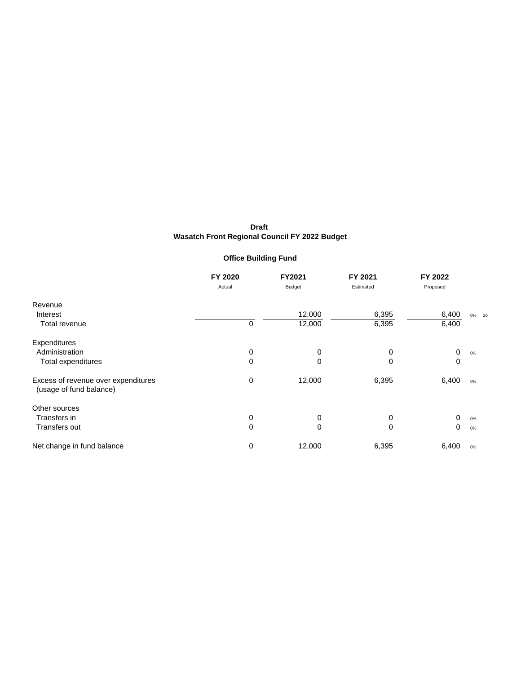## **Office Building Fund**

|                                                                | FY 2020 | FY2021        | FY 2021   | FY 2022  |          |
|----------------------------------------------------------------|---------|---------------|-----------|----------|----------|
|                                                                | Actual  | <b>Budget</b> | Estimated | Proposed |          |
| Revenue                                                        |         |               |           |          |          |
| Interest                                                       |         | 12,000        | 6,395     | 6,400    | $0\%$ 26 |
| Total revenue                                                  | 0       | 12,000        | 6,395     | 6,400    |          |
| Expenditures                                                   |         |               |           |          |          |
| Administration                                                 | 0       | 0             | 0         | 0        | 0%       |
| Total expenditures                                             | 0       | $\Omega$      | 0         | $\Omega$ |          |
| Excess of revenue over expenditures<br>(usage of fund balance) | 0       | 12,000        | 6,395     | 6,400    | 0%       |
| Other sources                                                  |         |               |           |          |          |
| Transfers in                                                   | 0       | 0             | 0         | 0        | 0%       |
| Transfers out                                                  | 0       | 0             | 0         | 0        | 0%       |
| Net change in fund balance                                     | 0       | 12,000        | 6,395     | 6,400    | 0%       |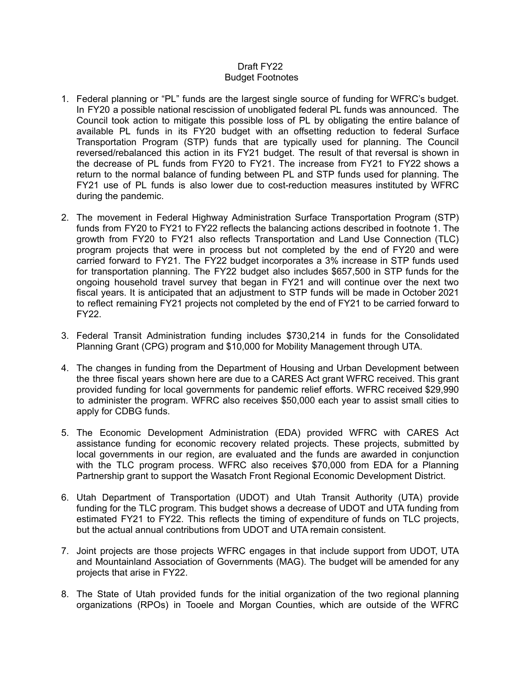#### Draft FY22 Budget Footnotes

- 1. Federal planning or "PL" funds are the largest single source of funding for WFRC's budget. In FY20 a possible national rescission of unobligated federal PL funds was announced. The Council took action to mitigate this possible loss of PL by obligating the entire balance of available PL funds in its FY20 budget with an offsetting reduction to federal Surface Transportation Program (STP) funds that are typically used for planning. The Council reversed/rebalanced this action in its FY21 budget. The result of that reversal is shown in the decrease of PL funds from FY20 to FY21. The increase from FY21 to FY22 shows a return to the normal balance of funding between PL and STP funds used for planning. The FY21 use of PL funds is also lower due to cost-reduction measures instituted by WFRC during the pandemic.
- 2. The movement in Federal Highway Administration Surface Transportation Program (STP) funds from FY20 to FY21 to FY22 reflects the balancing actions described in footnote 1. The growth from FY20 to FY21 also reflects Transportation and Land Use Connection (TLC) program projects that were in process but not completed by the end of FY20 and were carried forward to FY21. The FY22 budget incorporates a 3% increase in STP funds used for transportation planning. The FY22 budget also includes \$657,500 in STP funds for the ongoing household travel survey that began in FY21 and will continue over the next two fiscal years. It is anticipated that an adjustment to STP funds will be made in October 2021 to reflect remaining FY21 projects not completed by the end of FY21 to be carried forward to FY22.
- 3. Federal Transit Administration funding includes \$730,214 in funds for the Consolidated Planning Grant (CPG) program and \$10,000 for Mobility Management through UTA.
- 4. The changes in funding from the Department of Housing and Urban Development between the three fiscal years shown here are due to a CARES Act grant WFRC received. This grant provided funding for local governments for pandemic relief efforts. WFRC received \$29,990 to administer the program. WFRC also receives \$50,000 each year to assist small cities to apply for CDBG funds.
- 5. The Economic Development Administration (EDA) provided WFRC with CARES Act assistance funding for economic recovery related projects. These projects, submitted by local governments in our region, are evaluated and the funds are awarded in conjunction with the TLC program process. WFRC also receives \$70,000 from EDA for a Planning Partnership grant to support the Wasatch Front Regional Economic Development District.
- 6. Utah Department of Transportation (UDOT) and Utah Transit Authority (UTA) provide funding for the TLC program. This budget shows a decrease of UDOT and UTA funding from estimated FY21 to FY22. This reflects the timing of expenditure of funds on TLC projects, but the actual annual contributions from UDOT and UTA remain consistent.
- 7. Joint projects are those projects WFRC engages in that include support from UDOT, UTA and Mountainland Association of Governments (MAG). The budget will be amended for any projects that arise in FY22.
- 8. The State of Utah provided funds for the initial organization of the two regional planning organizations (RPOs) in Tooele and Morgan Counties, which are outside of the WFRC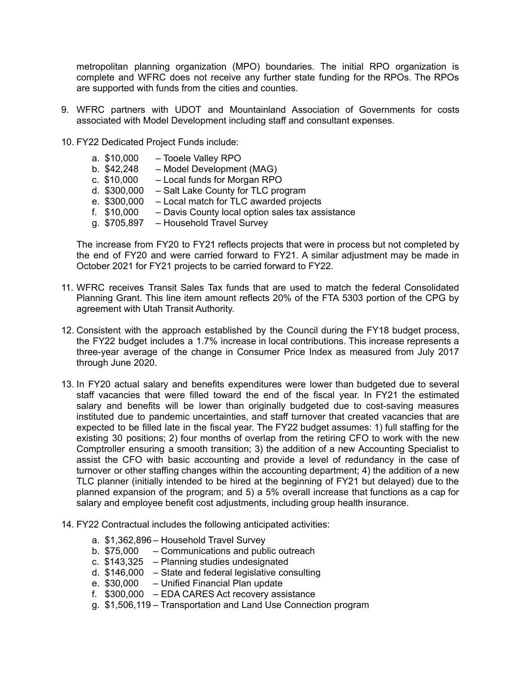metropolitan planning organization (MPO) boundaries. The initial RPO organization is complete and WFRC does not receive any further state funding for the RPOs. The RPOs are supported with funds from the cities and counties.

- 9. WFRC partners with UDOT and Mountainland Association of Governments for costs associated with Model Development including staff and consultant expenses.
- 10. FY22 Dedicated Project Funds include:
	- a. \$10,000 Tooele Valley RPO
	- b. \$42,248 Model Development (MAG)
	- c. \$10,000 Local funds for Morgan RPO
	- d. \$300,000 Salt Lake County for TLC program
	- e. \$300,000 Local match for TLC awarded projects<br>f. \$10,000 Davis County local option sales tax ass
	- Davis County local option sales tax assistance
	- g. \$705,897 Household Travel Survey

The increase from FY20 to FY21 reflects projects that were in process but not completed by the end of FY20 and were carried forward to FY21. A similar adjustment may be made in October 2021 for FY21 projects to be carried forward to FY22.

- 11. WFRC receives Transit Sales Tax funds that are used to match the federal Consolidated Planning Grant. This line item amount reflects 20% of the FTA 5303 portion of the CPG by agreement with Utah Transit Authority.
- 12. Consistent with the approach established by the Council during the FY18 budget process, the FY22 budget includes a 1.7% increase in local contributions. This increase represents a three-year average of the change in Consumer Price Index as measured from July 2017 through June 2020.
- 13. In FY20 actual salary and benefits expenditures were lower than budgeted due to several staff vacancies that were filled toward the end of the fiscal year. In FY21 the estimated salary and benefits will be lower than originally budgeted due to cost-saving measures instituted due to pandemic uncertainties, and staff turnover that created vacancies that are expected to be filled late in the fiscal year. The FY22 budget assumes: 1) full staffing for the existing 30 positions; 2) four months of overlap from the retiring CFO to work with the new Comptroller ensuring a smooth transition; 3) the addition of a new Accounting Specialist to assist the CFO with basic accounting and provide a level of redundancy in the case of turnover or other staffing changes within the accounting department; 4) the addition of a new TLC planner (initially intended to be hired at the beginning of FY21 but delayed) due to the planned expansion of the program; and 5) a 5% overall increase that functions as a cap for salary and employee benefit cost adjustments, including group health insurance.
- 14. FY22 Contractual includes the following anticipated activities:
	- a. \$1,362,896 Household Travel Survey
	- b. \$75,000 Communications and public outreach
	- c. \$143,325 Planning studies undesignated
	- d. \$146,000 State and federal legislative consulting
	- e. \$30,000 Unified Financial Plan update
	- f. \$300,000 EDA CARES Act recovery assistance
	- g. \$1,506,119 Transportation and Land Use Connection program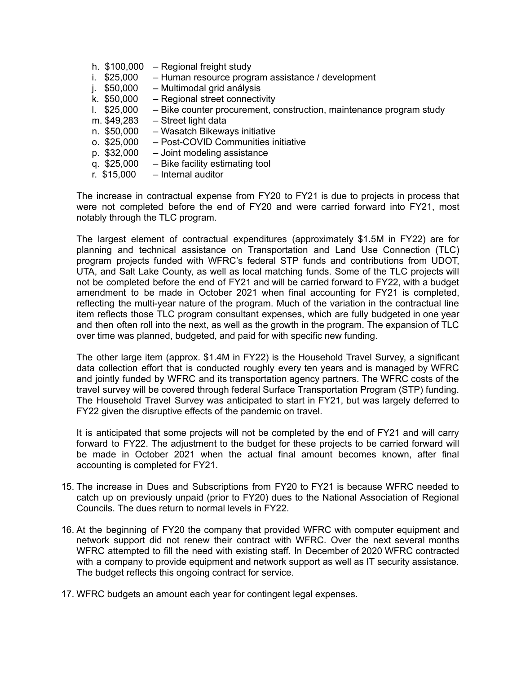|    | h. \$100,000  | - Regional freight study                                            |
|----|---------------|---------------------------------------------------------------------|
|    | i. $$25,000$  | - Human resource program assistance / development                   |
| j. | \$50,000      | - Multimodal grid análysis                                          |
|    | k. \$50,000   | - Regional street connectivity                                      |
|    | $1.$ \$25,000 | - Bike counter procurement, construction, maintenance program study |
|    | m. \$49,283   | - Street light data                                                 |
|    | n. \$50,000   | - Wasatch Bikeways initiative                                       |
|    | $0.$ \$25,000 | - Post-COVID Communities initiative                                 |
|    | p. \$32,000   | - Joint modeling assistance                                         |
|    | q. \$25,000   | - Bike facility estimating tool                                     |
|    | r. $$15,000$  | - Internal auditor                                                  |

The increase in contractual expense from FY20 to FY21 is due to projects in process that were not completed before the end of FY20 and were carried forward into FY21, most notably through the TLC program.

The largest element of contractual expenditures (approximately \$1.5M in FY22) are for planning and technical assistance on Transportation and Land Use Connection (TLC) program projects funded with WFRC's federal STP funds and contributions from UDOT, UTA, and Salt Lake County, as well as local matching funds. Some of the TLC projects will not be completed before the end of FY21 and will be carried forward to FY22, with a budget amendment to be made in October 2021 when final accounting for FY21 is completed, reflecting the multi-year nature of the program. Much of the variation in the contractual line item reflects those TLC program consultant expenses, which are fully budgeted in one year and then often roll into the next, as well as the growth in the program. The expansion of TLC over time was planned, budgeted, and paid for with specific new funding.

The other large item (approx. \$1.4M in FY22) is the Household Travel Survey, a significant data collection effort that is conducted roughly every ten years and is managed by WFRC and jointly funded by WFRC and its transportation agency partners. The WFRC costs of the travel survey will be covered through federal Surface Transportation Program (STP) funding. The Household Travel Survey was anticipated to start in FY21, but was largely deferred to FY22 given the disruptive effects of the pandemic on travel.

It is anticipated that some projects will not be completed by the end of FY21 and will carry forward to FY22. The adjustment to the budget for these projects to be carried forward will be made in October 2021 when the actual final amount becomes known, after final accounting is completed for FY21.

- 15. The increase in Dues and Subscriptions from FY20 to FY21 is because WFRC needed to catch up on previously unpaid (prior to FY20) dues to the National Association of Regional Councils. The dues return to normal levels in FY22.
- 16. At the beginning of FY20 the company that provided WFRC with computer equipment and network support did not renew their contract with WFRC. Over the next several months WFRC attempted to fill the need with existing staff. In December of 2020 WFRC contracted with a company to provide equipment and network support as well as IT security assistance. The budget reflects this ongoing contract for service.
- 17. WFRC budgets an amount each year for contingent legal expenses.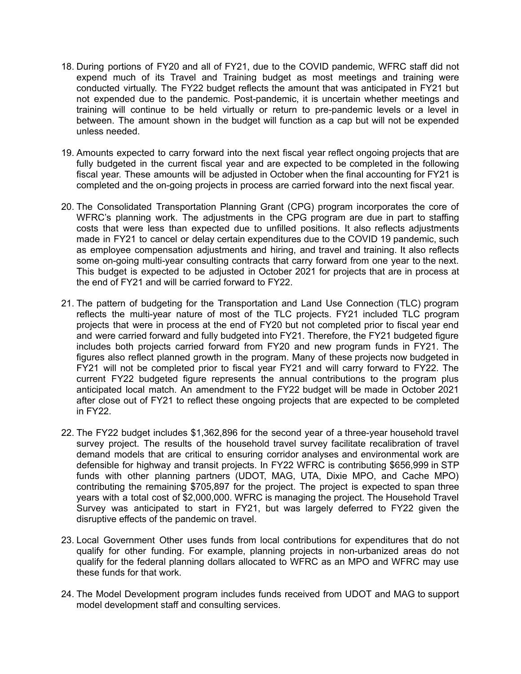- 18. During portions of FY20 and all of FY21, due to the COVID pandemic, WFRC staff did not expend much of its Travel and Training budget as most meetings and training were conducted virtually. The FY22 budget reflects the amount that was anticipated in FY21 but not expended due to the pandemic. Post-pandemic, it is uncertain whether meetings and training will continue to be held virtually or return to pre-pandemic levels or a level in between. The amount shown in the budget will function as a cap but will not be expended unless needed.
- 19. Amounts expected to carry forward into the next fiscal year reflect ongoing projects that are fully budgeted in the current fiscal year and are expected to be completed in the following fiscal year. These amounts will be adjusted in October when the final accounting for FY21 is completed and the on-going projects in process are carried forward into the next fiscal year.
- 20. The Consolidated Transportation Planning Grant (CPG) program incorporates the core of WFRC's planning work. The adjustments in the CPG program are due in part to staffing costs that were less than expected due to unfilled positions. It also reflects adjustments made in FY21 to cancel or delay certain expenditures due to the COVID 19 pandemic, such as employee compensation adjustments and hiring, and travel and training. It also reflects some on-going multi-year consulting contracts that carry forward from one year to the next. This budget is expected to be adjusted in October 2021 for projects that are in process at the end of FY21 and will be carried forward to FY22.
- 21. The pattern of budgeting for the Transportation and Land Use Connection (TLC) program reflects the multi-year nature of most of the TLC projects. FY21 included TLC program projects that were in process at the end of FY20 but not completed prior to fiscal year end and were carried forward and fully budgeted into FY21. Therefore, the FY21 budgeted figure includes both projects carried forward from FY20 and new program funds in FY21. The figures also reflect planned growth in the program. Many of these projects now budgeted in FY21 will not be completed prior to fiscal year FY21 and will carry forward to FY22. The current FY22 budgeted figure represents the annual contributions to the program plus anticipated local match. An amendment to the FY22 budget will be made in October 2021 after close out of FY21 to reflect these ongoing projects that are expected to be completed in FY22.
- 22. The FY22 budget includes \$1,362,896 for the second year of a three-year household travel survey project. The results of the household travel survey facilitate recalibration of travel demand models that are critical to ensuring corridor analyses and environmental work are defensible for highway and transit projects. In FY22 WFRC is contributing \$656,999 in STP funds with other planning partners (UDOT, MAG, UTA, Dixie MPO, and Cache MPO) contributing the remaining \$705,897 for the project. The project is expected to span three years with a total cost of \$2,000,000. WFRC is managing the project. The Household Travel Survey was anticipated to start in FY21, but was largely deferred to FY22 given the disruptive effects of the pandemic on travel.
- 23. Local Government Other uses funds from local contributions for expenditures that do not qualify for other funding. For example, planning projects in non-urbanized areas do not qualify for the federal planning dollars allocated to WFRC as an MPO and WFRC may use these funds for that work.
- 24. The Model Development program includes funds received from UDOT and MAG to support model development staff and consulting services.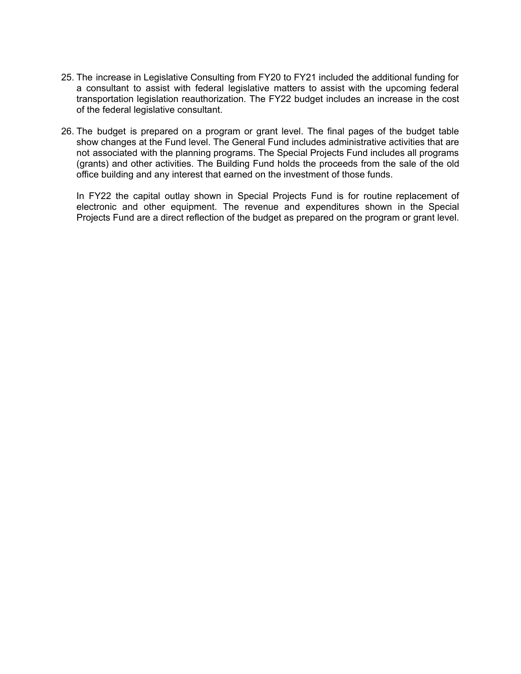- 25. The increase in Legislative Consulting from FY20 to FY21 included the additional funding for a consultant to assist with federal legislative matters to assist with the upcoming federal transportation legislation reauthorization. The FY22 budget includes an increase in the cost of the federal legislative consultant.
- 26. The budget is prepared on a program or grant level. The final pages of the budget table show changes at the Fund level. The General Fund includes administrative activities that are not associated with the planning programs. The Special Projects Fund includes all programs (grants) and other activities. The Building Fund holds the proceeds from the sale of the old office building and any interest that earned on the investment of those funds.

In FY22 the capital outlay shown in Special Projects Fund is for routine replacement of electronic and other equipment. The revenue and expenditures shown in the Special Projects Fund are a direct reflection of the budget as prepared on the program or grant level.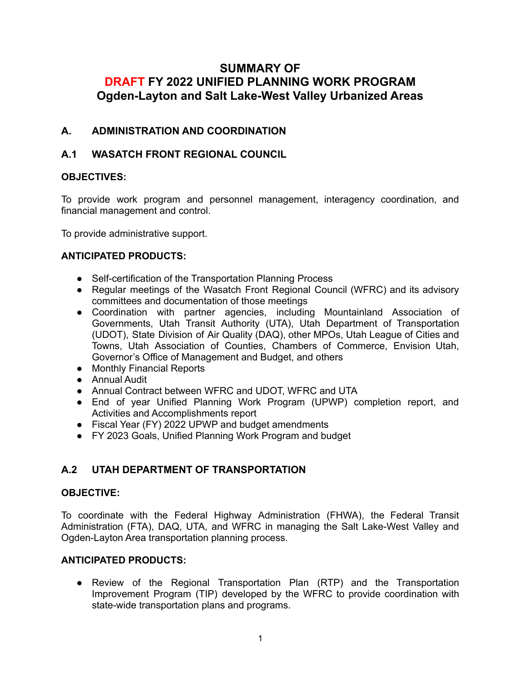# **SUMMARY OF DRAFT FY 2022 UNIFIED PLANNING WORK PROGRAM Ogden-Layton and Salt Lake-West Valley Urbanized Areas**

# **A. ADMINISTRATION AND COORDINATION**

# **A.1 WASATCH FRONT REGIONAL COUNCIL**

#### **OBJECTIVES:**

To provide work program and personnel management, interagency coordination, and financial management and control.

To provide administrative support.

#### **ANTICIPATED PRODUCTS:**

- Self-certification of the Transportation Planning Process
- Regular meetings of the Wasatch Front Regional Council (WFRC) and its advisory committees and documentation of those meetings
- Coordination with partner agencies, including Mountainland Association of Governments, Utah Transit Authority (UTA), Utah Department of Transportation (UDOT), State Division of Air Quality (DAQ), other MPOs, Utah League of Cities and Towns, Utah Association of Counties, Chambers of Commerce, Envision Utah, Governor's Office of Management and Budget, and others
- Monthly Financial Reports
- Annual Audit
- Annual Contract between WFRC and UDOT, WFRC and UTA
- End of year Unified Planning Work Program (UPWP) completion report, and Activities and Accomplishments report
- Fiscal Year (FY) 2022 UPWP and budget amendments
- FY 2023 Goals, Unified Planning Work Program and budget

# **A.2 UTAH DEPARTMENT OF TRANSPORTATION**

#### **OBJECTIVE:**

To coordinate with the Federal Highway Administration (FHWA), the Federal Transit Administration (FTA), DAQ, UTA, and WFRC in managing the Salt Lake-West Valley and Ogden-Layton Area transportation planning process.

#### **ANTICIPATED PRODUCTS:**

**●** Review of the Regional Transportation Plan (RTP) and the Transportation Improvement Program (TIP) developed by the WFRC to provide coordination with state-wide transportation plans and programs.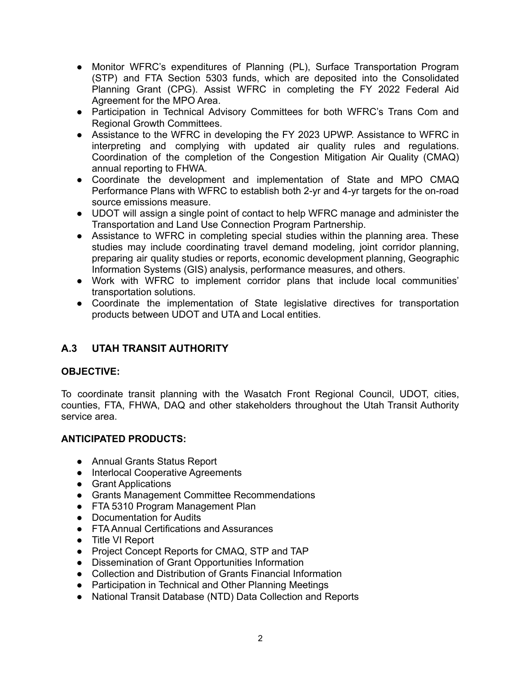- **●** Monitor WFRC's expenditures of Planning (PL), Surface Transportation Program (STP) and FTA Section 5303 funds, which are deposited into the Consolidated Planning Grant (CPG). Assist WFRC in completing the FY 2022 Federal Aid Agreement for the MPO Area.
- Participation in Technical Advisory Committees for both WFRC's Trans Com and Regional Growth Committees.
- Assistance to the WFRC in developing the FY 2023 UPWP. Assistance to WFRC in interpreting and complying with updated air quality rules and regulations. Coordination of the completion of the Congestion Mitigation Air Quality (CMAQ) annual reporting to FHWA.
- Coordinate the development and implementation of State and MPO CMAQ Performance Plans with WFRC to establish both 2-yr and 4-yr targets for the on-road source emissions measure.
- **●** UDOT will assign a single point of contact to help WFRC manage and administer the Transportation and Land Use Connection Program Partnership.
- **●** Assistance to WFRC in completing special studies within the planning area. These studies may include coordinating travel demand modeling, joint corridor planning, preparing air quality studies or reports, economic development planning, Geographic Information Systems (GIS) analysis, performance measures, and others.
- **●** Work with WFRC to implement corridor plans that include local communities' transportation solutions.
- **●** Coordinate the implementation of State legislative directives for transportation products between UDOT and UTA and Local entities.

# **A.3 UTAH TRANSIT AUTHORITY**

#### **OBJECTIVE:**

To coordinate transit planning with the Wasatch Front Regional Council, UDOT, cities, counties, FTA, FHWA, DAQ and other stakeholders throughout the Utah Transit Authority service area.

- Annual Grants Status Report
- Interlocal Cooperative Agreements
- Grant Applications
- Grants Management Committee Recommendations
- FTA 5310 Program Management Plan
- Documentation for Audits
- FTA Annual Certifications and Assurances
- Title VI Report
- Project Concept Reports for CMAQ, STP and TAP
- Dissemination of Grant Opportunities Information
- Collection and Distribution of Grants Financial Information
- Participation in Technical and Other Planning Meetings
- National Transit Database (NTD) Data Collection and Reports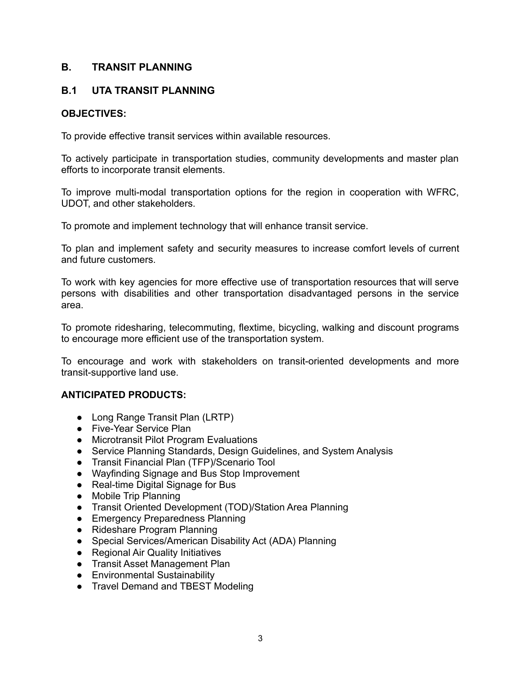## **B. TRANSIT PLANNING**

# **B.1 UTA TRANSIT PLANNING**

#### **OBJECTIVES:**

To provide effective transit services within available resources.

To actively participate in transportation studies, community developments and master plan efforts to incorporate transit elements.

To improve multi-modal transportation options for the region in cooperation with WFRC, UDOT, and other stakeholders.

To promote and implement technology that will enhance transit service.

To plan and implement safety and security measures to increase comfort levels of current and future customers.

To work with key agencies for more effective use of transportation resources that will serve persons with disabilities and other transportation disadvantaged persons in the service area.

To promote ridesharing, telecommuting, flextime, bicycling, walking and discount programs to encourage more efficient use of the transportation system.

To encourage and work with stakeholders on transit-oriented developments and more transit-supportive land use.

- Long Range Transit Plan (LRTP)
- Five-Year Service Plan
- Microtransit Pilot Program Evaluations
- Service Planning Standards, Design Guidelines, and System Analysis
- Transit Financial Plan (TFP)/Scenario Tool
- Wayfinding Signage and Bus Stop Improvement
- Real-time Digital Signage for Bus
- Mobile Trip Planning
- Transit Oriented Development (TOD)/Station Area Planning
- Emergency Preparedness Planning
- Rideshare Program Planning
- Special Services/American Disability Act (ADA) Planning
- Regional Air Quality Initiatives
- Transit Asset Management Plan
- Environmental Sustainability
- Travel Demand and TBEST Modeling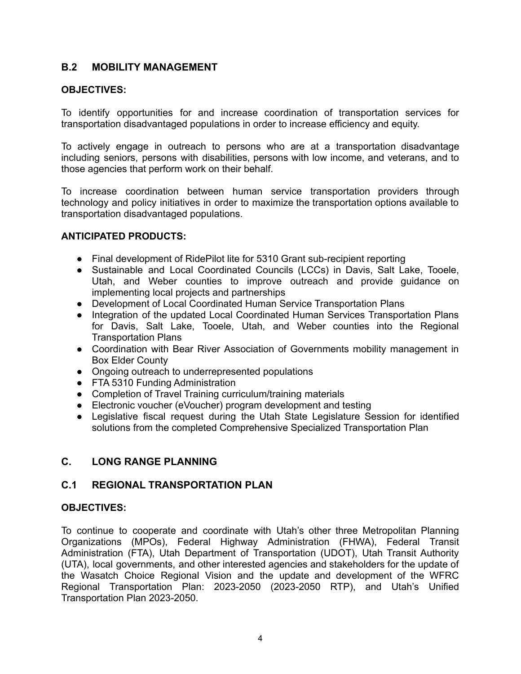## **B.2 MOBILITY MANAGEMENT**

#### **OBJECTIVES:**

To identify opportunities for and increase coordination of transportation services for transportation disadvantaged populations in order to increase efficiency and equity.

To actively engage in outreach to persons who are at a transportation disadvantage including seniors, persons with disabilities, persons with low income, and veterans, and to those agencies that perform work on their behalf.

To increase coordination between human service transportation providers through technology and policy initiatives in order to maximize the transportation options available to transportation disadvantaged populations.

#### **ANTICIPATED PRODUCTS:**

- **●** Final development of RidePilot lite for 5310 Grant sub-recipient reporting
- **●** Sustainable and Local Coordinated Councils (LCCs) in Davis, Salt Lake, Tooele, Utah, and Weber counties to improve outreach and provide guidance on implementing local projects and partnerships
- **●** Development of Local Coordinated Human Service Transportation Plans
- **●** Integration of the updated Local Coordinated Human Services Transportation Plans for Davis, Salt Lake, Tooele, Utah, and Weber counties into the Regional Transportation Plans
- **●** Coordination with Bear River Association of Governments mobility management in Box Elder County
- **●** Ongoing outreach to underrepresented populations
- **●** FTA 5310 Funding Administration
- **●** Completion of Travel Training curriculum/training materials
- **●** Electronic voucher (eVoucher) program development and testing
- **●** Legislative fiscal request during the Utah State Legislature Session for identified solutions from the completed Comprehensive Specialized Transportation Plan

#### **C. LONG RANGE PLANNING**

#### **C.1 REGIONAL TRANSPORTATION PLAN**

#### **OBJECTIVES:**

To continue to cooperate and coordinate with Utah's other three Metropolitan Planning Organizations (MPOs), Federal Highway Administration (FHWA), Federal Transit Administration (FTA), Utah Department of Transportation (UDOT), Utah Transit Authority (UTA), local governments, and other interested agencies and stakeholders for the update of the Wasatch Choice Regional Vision and the update and development of the WFRC Regional Transportation Plan: 2023-2050 (2023-2050 RTP), and Utah's Unified Transportation Plan 2023-2050.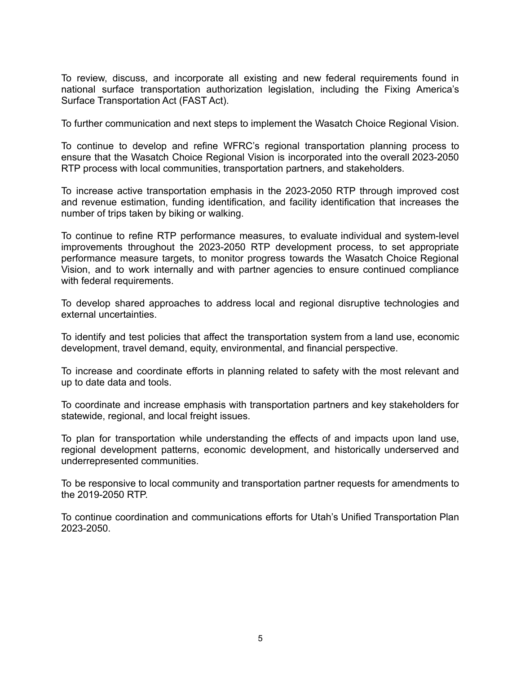To review, discuss, and incorporate all existing and new federal requirements found in national surface transportation authorization legislation, including the Fixing America's Surface Transportation Act (FAST Act).

To further communication and next steps to implement the Wasatch Choice Regional Vision.

To continue to develop and refine WFRC's regional transportation planning process to ensure that the Wasatch Choice Regional Vision is incorporated into the overall 2023-2050 RTP process with local communities, transportation partners, and stakeholders.

To increase active transportation emphasis in the 2023-2050 RTP through improved cost and revenue estimation, funding identification, and facility identification that increases the number of trips taken by biking or walking.

To continue to refine RTP performance measures, to evaluate individual and system-level improvements throughout the 2023-2050 RTP development process, to set appropriate performance measure targets, to monitor progress towards the Wasatch Choice Regional Vision, and to work internally and with partner agencies to ensure continued compliance with federal requirements.

To develop shared approaches to address local and regional disruptive technologies and external uncertainties.

To identify and test policies that affect the transportation system from a land use, economic development, travel demand, equity, environmental, and financial perspective.

To increase and coordinate efforts in planning related to safety with the most relevant and up to date data and tools.

To coordinate and increase emphasis with transportation partners and key stakeholders for statewide, regional, and local freight issues.

To plan for transportation while understanding the effects of and impacts upon land use, regional development patterns, economic development, and historically underserved and underrepresented communities.

To be responsive to local community and transportation partner requests for amendments to the 2019-2050 RTP.

To continue coordination and communications efforts for Utah's Unified Transportation Plan 2023-2050.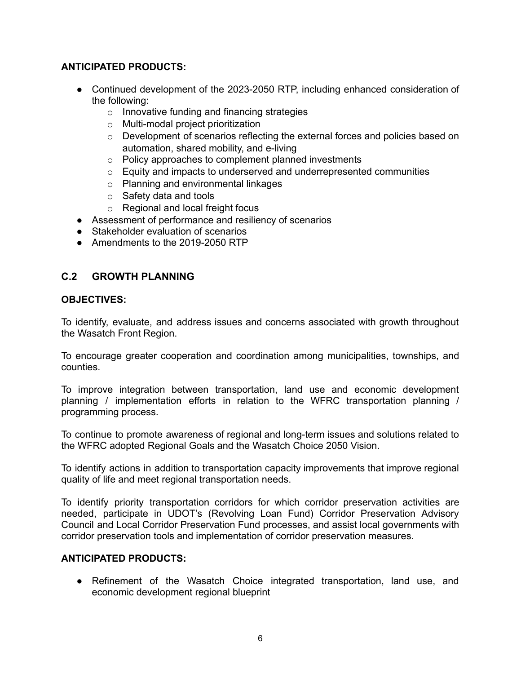## **ANTICIPATED PRODUCTS:**

- Continued development of the 2023-2050 RTP, including enhanced consideration of the following:
	- o Innovative funding and financing strategies
	- o Multi-modal project prioritization
	- o Development of scenarios reflecting the external forces and policies based on automation, shared mobility, and e-living
	- o Policy approaches to complement planned investments
	- $\circ$  Equity and impacts to underserved and underrepresented communities
	- o Planning and environmental linkages
	- o Safety data and tools
	- o Regional and local freight focus
- Assessment of performance and resiliency of scenarios
- Stakeholder evaluation of scenarios
- Amendments to the 2019-2050 RTP

# **C.2 GROWTH PLANNING**

#### **OBJECTIVES:**

To identify, evaluate, and address issues and concerns associated with growth throughout the Wasatch Front Region.

To encourage greater cooperation and coordination among municipalities, townships, and counties.

To improve integration between transportation, land use and economic development planning / implementation efforts in relation to the WFRC transportation planning / programming process.

To continue to promote awareness of regional and long-term issues and solutions related to the WFRC adopted Regional Goals and the Wasatch Choice 2050 Vision.

To identify actions in addition to transportation capacity improvements that improve regional quality of life and meet regional transportation needs.

To identify priority transportation corridors for which corridor preservation activities are needed, participate in UDOT's (Revolving Loan Fund) Corridor Preservation Advisory Council and Local Corridor Preservation Fund processes, and assist local governments with corridor preservation tools and implementation of corridor preservation measures.

#### **ANTICIPATED PRODUCTS:**

**●** Refinement of the Wasatch Choice integrated transportation, land use, and economic development regional blueprint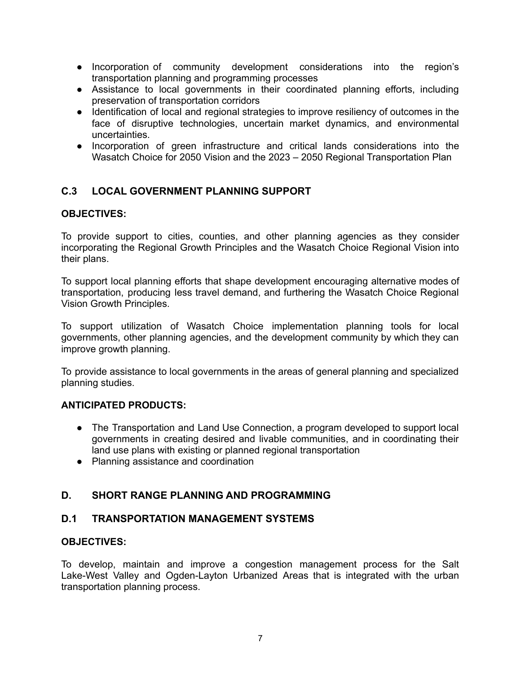- **●** Incorporation of community development considerations into the region's transportation planning and programming processes
- **●** Assistance to local governments in their coordinated planning efforts, including preservation of transportation corridors
- **●** Identification of local and regional strategies to improve resiliency of outcomes in the face of disruptive technologies, uncertain market dynamics, and environmental uncertainties.
- **●** Incorporation of green infrastructure and critical lands considerations into the Wasatch Choice for 2050 Vision and the 2023 – 2050 Regional Transportation Plan

# **C.3 LOCAL GOVERNMENT PLANNING SUPPORT**

#### **OBJECTIVES:**

To provide support to cities, counties, and other planning agencies as they consider incorporating the Regional Growth Principles and the Wasatch Choice Regional Vision into their plans.

To support local planning efforts that shape development encouraging alternative modes of transportation, producing less travel demand, and furthering the Wasatch Choice Regional Vision Growth Principles.

To support utilization of Wasatch Choice implementation planning tools for local governments, other planning agencies, and the development community by which they can improve growth planning.

To provide assistance to local governments in the areas of general planning and specialized planning studies.

#### **ANTICIPATED PRODUCTS:**

- The Transportation and Land Use Connection, a program developed to support local governments in creating desired and livable communities, and in coordinating their land use plans with existing or planned regional transportation
- Planning assistance and coordination

# **D. SHORT RANGE PLANNING AND PROGRAMMING**

#### **D.1 TRANSPORTATION MANAGEMENT SYSTEMS**

#### **OBJECTIVES:**

To develop, maintain and improve a congestion management process for the Salt Lake-West Valley and Ogden-Layton Urbanized Areas that is integrated with the urban transportation planning process.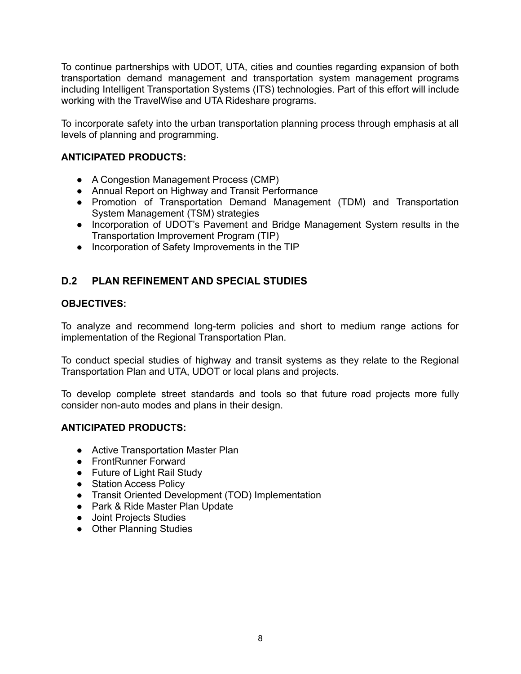To continue partnerships with UDOT, UTA, cities and counties regarding expansion of both transportation demand management and transportation system management programs including Intelligent Transportation Systems (ITS) technologies. Part of this effort will include working with the TravelWise and UTA Rideshare programs.

To incorporate safety into the urban transportation planning process through emphasis at all levels of planning and programming.

#### **ANTICIPATED PRODUCTS:**

- A Congestion Management Process (CMP)
- Annual Report on Highway and Transit Performance
- Promotion of Transportation Demand Management (TDM) and Transportation System Management (TSM) strategies
- Incorporation of UDOT's Pavement and Bridge Management System results in the Transportation Improvement Program (TIP)
- Incorporation of Safety Improvements in the TIP

## **D.2 PLAN REFINEMENT AND SPECIAL STUDIES**

#### **OBJECTIVES:**

To analyze and recommend long-term policies and short to medium range actions for implementation of the Regional Transportation Plan.

To conduct special studies of highway and transit systems as they relate to the Regional Transportation Plan and UTA, UDOT or local plans and projects.

To develop complete street standards and tools so that future road projects more fully consider non-auto modes and plans in their design.

- Active Transportation Master Plan
- FrontRunner Forward
- Future of Light Rail Study
- Station Access Policy
- Transit Oriented Development (TOD) Implementation
- Park & Ride Master Plan Update
- Joint Projects Studies
- Other Planning Studies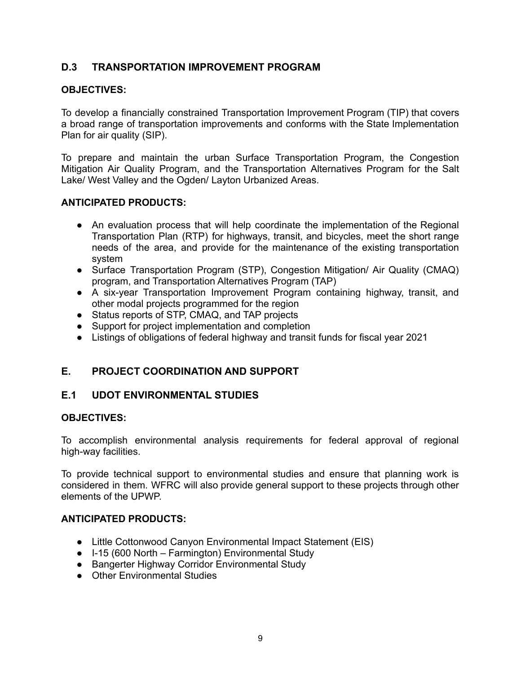# **D.3 TRANSPORTATION IMPROVEMENT PROGRAM**

#### **OBJECTIVES:**

To develop a financially constrained Transportation Improvement Program (TIP) that covers a broad range of transportation improvements and conforms with the State Implementation Plan for air quality (SIP).

To prepare and maintain the urban Surface Transportation Program, the Congestion Mitigation Air Quality Program, and the Transportation Alternatives Program for the Salt Lake/ West Valley and the Ogden/ Layton Urbanized Areas.

#### **ANTICIPATED PRODUCTS:**

- An evaluation process that will help coordinate the implementation of the Regional Transportation Plan (RTP) for highways, transit, and bicycles, meet the short range needs of the area, and provide for the maintenance of the existing transportation system
- Surface Transportation Program (STP), Congestion Mitigation/ Air Quality (CMAQ) program, and Transportation Alternatives Program (TAP)
- A six-year Transportation Improvement Program containing highway, transit, and other modal projects programmed for the region
- Status reports of STP, CMAQ, and TAP projects
- Support for project implementation and completion
- Listings of obligations of federal highway and transit funds for fiscal year 2021

# **E. PROJECT COORDINATION AND SUPPORT**

#### **E.1 UDOT ENVIRONMENTAL STUDIES**

#### **OBJECTIVES:**

To accomplish environmental analysis requirements for federal approval of regional high-way facilities.

To provide technical support to environmental studies and ensure that planning work is considered in them. WFRC will also provide general support to these projects through other elements of the UPWP.

- Little Cottonwood Canyon Environmental Impact Statement (EIS)
- I-15 (600 North Farmington) Environmental Study
- Bangerter Highway Corridor Environmental Study
- Other Environmental Studies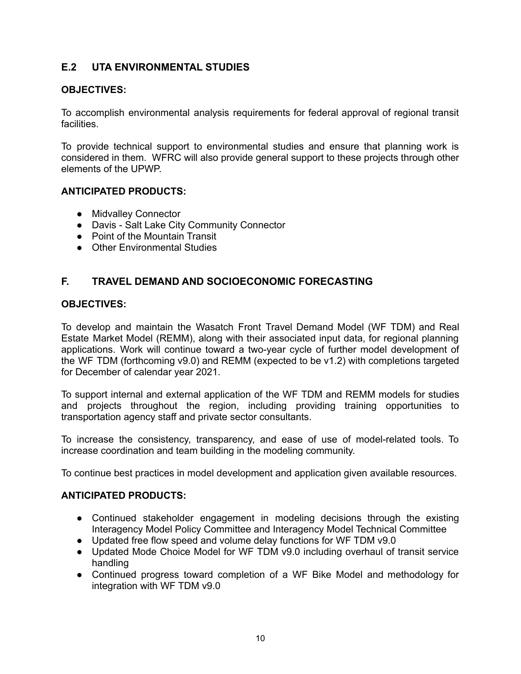# **E.2 UTA ENVIRONMENTAL STUDIES**

#### **OBJECTIVES:**

To accomplish environmental analysis requirements for federal approval of regional transit facilities.

To provide technical support to environmental studies and ensure that planning work is considered in them. WFRC will also provide general support to these projects through other elements of the UPWP.

#### **ANTICIPATED PRODUCTS:**

- **●** Midvalley Connector
- **●** Davis Salt Lake City Community Connector
- **●** Point of the Mountain Transit
- **●** Other Environmental Studies

#### **F. TRAVEL DEMAND AND SOCIOECONOMIC FORECASTING**

#### **OBJECTIVES:**

To develop and maintain the Wasatch Front Travel Demand Model (WF TDM) and Real Estate Market Model (REMM), along with their associated input data, for regional planning applications. Work will continue toward a two-year cycle of further model development of the WF TDM (forthcoming v9.0) and REMM (expected to be v1.2) with completions targeted for December of calendar year 2021.

To support internal and external application of the WF TDM and REMM models for studies and projects throughout the region, including providing training opportunities to transportation agency staff and private sector consultants.

To increase the consistency, transparency, and ease of use of model-related tools. To increase coordination and team building in the modeling community.

To continue best practices in model development and application given available resources.

- Continued stakeholder engagement in modeling decisions through the existing Interagency Model Policy Committee and Interagency Model Technical Committee
- Updated free flow speed and volume delay functions for WF TDM v9.0
- Updated Mode Choice Model for WF TDM v9.0 including overhaul of transit service handling
- Continued progress toward completion of a WF Bike Model and methodology for integration with WF TDM v9.0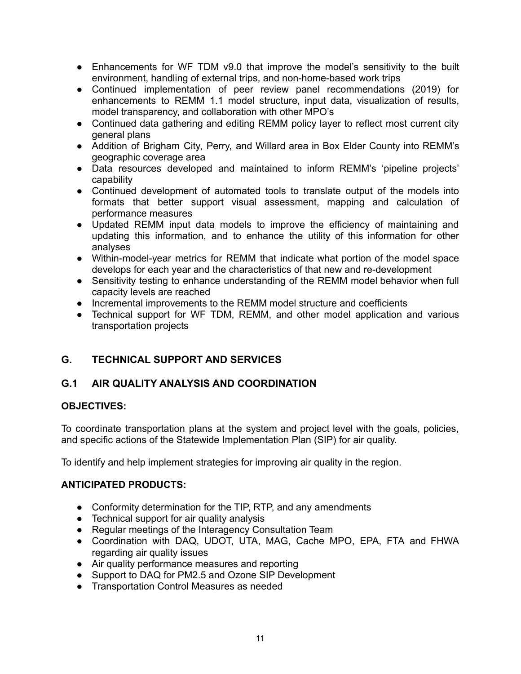- Enhancements for WF TDM v9.0 that improve the model's sensitivity to the built environment, handling of external trips, and non-home-based work trips
- Continued implementation of peer review panel recommendations (2019) for enhancements to REMM 1.1 model structure, input data, visualization of results, model transparency, and collaboration with other MPO's
- Continued data gathering and editing REMM policy layer to reflect most current city general plans
- Addition of Brigham City, Perry, and Willard area in Box Elder County into REMM's geographic coverage area
- Data resources developed and maintained to inform REMM's 'pipeline projects' capability
- Continued development of automated tools to translate output of the models into formats that better support visual assessment, mapping and calculation of performance measures
- Updated REMM input data models to improve the efficiency of maintaining and updating this information, and to enhance the utility of this information for other analyses
- Within-model-year metrics for REMM that indicate what portion of the model space develops for each year and the characteristics of that new and re-development
- Sensitivity testing to enhance understanding of the REMM model behavior when full capacity levels are reached
- Incremental improvements to the REMM model structure and coefficients
- Technical support for WF TDM, REMM, and other model application and various transportation projects

# **G. TECHNICAL SUPPORT AND SERVICES**

# **G.1 AIR QUALITY ANALYSIS AND COORDINATION**

#### **OBJECTIVES:**

To coordinate transportation plans at the system and project level with the goals, policies, and specific actions of the Statewide Implementation Plan (SIP) for air quality.

To identify and help implement strategies for improving air quality in the region.

- Conformity determination for the TIP, RTP, and any amendments
- Technical support for air quality analysis
- Regular meetings of the Interagency Consultation Team
- Coordination with DAQ, UDOT, UTA, MAG, Cache MPO, EPA, FTA and FHWA regarding air quality issues
- Air quality performance measures and reporting
- Support to DAQ for PM2.5 and Ozone SIP Development
- Transportation Control Measures as needed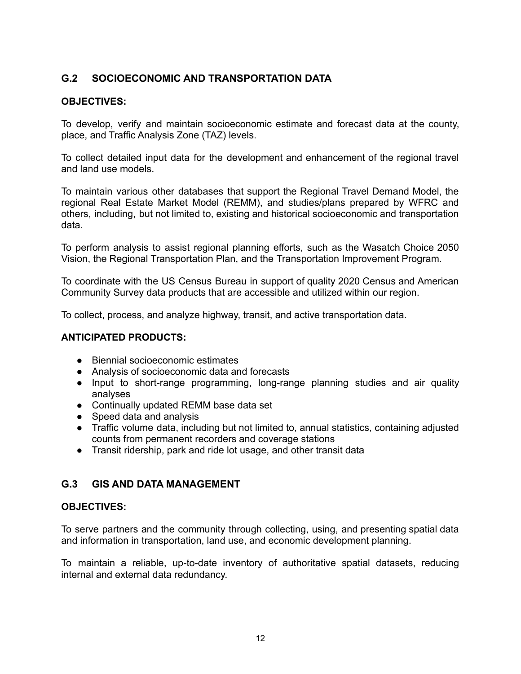# **G.2 SOCIOECONOMIC AND TRANSPORTATION DATA**

#### **OBJECTIVES:**

To develop, verify and maintain socioeconomic estimate and forecast data at the county, place, and Traffic Analysis Zone (TAZ) levels.

To collect detailed input data for the development and enhancement of the regional travel and land use models.

To maintain various other databases that support the Regional Travel Demand Model, the regional Real Estate Market Model (REMM), and studies/plans prepared by WFRC and others, including, but not limited to, existing and historical socioeconomic and transportation data.

To perform analysis to assist regional planning efforts, such as the Wasatch Choice 2050 Vision, the Regional Transportation Plan, and the Transportation Improvement Program.

To coordinate with the US Census Bureau in support of quality 2020 Census and American Community Survey data products that are accessible and utilized within our region.

To collect, process, and analyze highway, transit, and active transportation data.

#### **ANTICIPATED PRODUCTS:**

- Biennial socioeconomic estimates
- Analysis of socioeconomic data and forecasts
- Input to short-range programming, long-range planning studies and air quality analyses
- Continually updated REMM base data set
- Speed data and analysis
- Traffic volume data, including but not limited to, annual statistics, containing adjusted counts from permanent recorders and coverage stations
- Transit ridership, park and ride lot usage, and other transit data

#### **G.3 GIS AND DATA MANAGEMENT**

#### **OBJECTIVES:**

To serve partners and the community through collecting, using, and presenting spatial data and information in transportation, land use, and economic development planning.

To maintain a reliable, up-to-date inventory of authoritative spatial datasets, reducing internal and external data redundancy.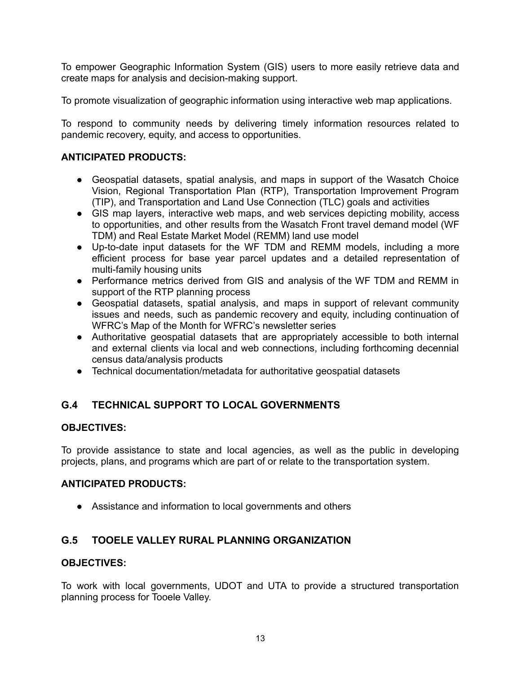To empower Geographic Information System (GIS) users to more easily retrieve data and create maps for analysis and decision-making support.

To promote visualization of geographic information using interactive web map applications.

To respond to community needs by delivering timely information resources related to pandemic recovery, equity, and access to opportunities.

### **ANTICIPATED PRODUCTS:**

- Geospatial datasets, spatial analysis, and maps in support of the Wasatch Choice Vision, Regional Transportation Plan (RTP), Transportation Improvement Program (TIP), and Transportation and Land Use Connection (TLC) goals and activities
- GIS map layers, interactive web maps, and web services depicting mobility, access to opportunities, and other results from the Wasatch Front travel demand model (WF TDM) and Real Estate Market Model (REMM) land use model
- Up-to-date input datasets for the WF TDM and REMM models, including a more efficient process for base year parcel updates and a detailed representation of multi-family housing units
- Performance metrics derived from GIS and analysis of the WF TDM and REMM in support of the RTP planning process
- Geospatial datasets, spatial analysis, and maps in support of relevant community issues and needs, such as pandemic recovery and equity, including continuation of WFRC's Map of the Month for WFRC's newsletter series
- Authoritative geospatial datasets that are appropriately accessible to both internal and external clients via local and web connections, including forthcoming decennial census data/analysis products
- Technical documentation/metadata for authoritative geospatial datasets

# **G.4 TECHNICAL SUPPORT TO LOCAL GOVERNMENTS**

#### **OBJECTIVES:**

To provide assistance to state and local agencies, as well as the public in developing projects, plans, and programs which are part of or relate to the transportation system.

#### **ANTICIPATED PRODUCTS:**

● Assistance and information to local governments and others

# **G.5 TOOELE VALLEY RURAL PLANNING ORGANIZATION**

#### **OBJECTIVES:**

To work with local governments, UDOT and UTA to provide a structured transportation planning process for Tooele Valley.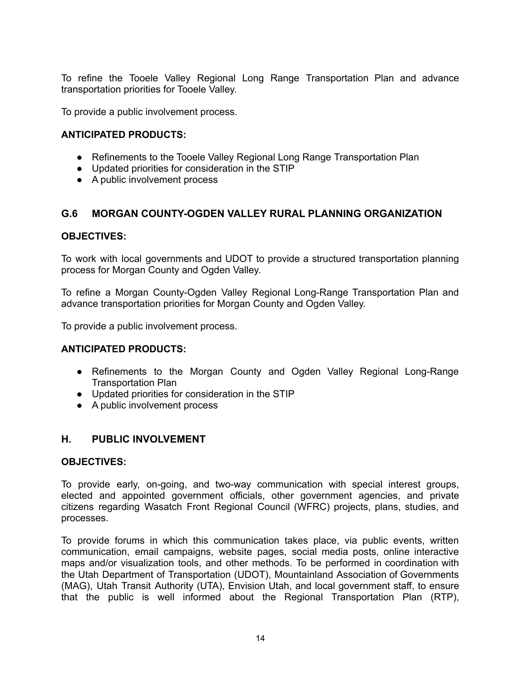To refine the Tooele Valley Regional Long Range Transportation Plan and advance transportation priorities for Tooele Valley.

To provide a public involvement process.

#### **ANTICIPATED PRODUCTS:**

- Refinements to the Tooele Valley Regional Long Range Transportation Plan
- Updated priorities for consideration in the STIP
- A public involvement process

#### **G.6 MORGAN COUNTY-OGDEN VALLEY RURAL PLANNING ORGANIZATION**

#### **OBJECTIVES:**

To work with local governments and UDOT to provide a structured transportation planning process for Morgan County and Ogden Valley.

To refine a Morgan County-Ogden Valley Regional Long-Range Transportation Plan and advance transportation priorities for Morgan County and Ogden Valley.

To provide a public involvement process.

#### **ANTICIPATED PRODUCTS:**

- Refinements to the Morgan County and Ogden Valley Regional Long-Range Transportation Plan
- Updated priorities for consideration in the STIP
- A public involvement process

#### **H. PUBLIC INVOLVEMENT**

#### **OBJECTIVES:**

To provide early, on-going, and two-way communication with special interest groups, elected and appointed government officials, other government agencies, and private citizens regarding Wasatch Front Regional Council (WFRC) projects, plans, studies, and processes.

To provide forums in which this communication takes place, via public events, written communication, email campaigns, website pages, social media posts, online interactive maps and/or visualization tools, and other methods. To be performed in coordination with the Utah Department of Transportation (UDOT), Mountainland Association of Governments (MAG), Utah Transit Authority (UTA), Envision Utah, and local government staff, to ensure that the public is well informed about the Regional Transportation Plan (RTP),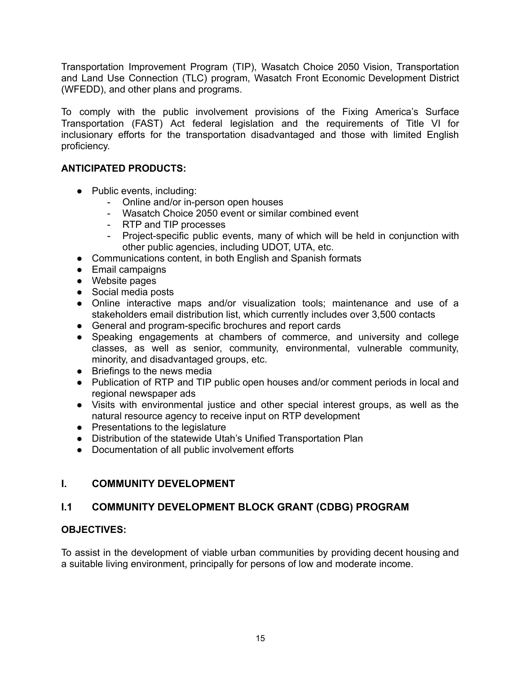Transportation Improvement Program (TIP), Wasatch Choice 2050 Vision, Transportation and Land Use Connection (TLC) program, Wasatch Front Economic Development District (WFEDD), and other plans and programs.

To comply with the public involvement provisions of the Fixing America's Surface Transportation (FAST) Act federal legislation and the requirements of Title VI for inclusionary efforts for the transportation disadvantaged and those with limited English proficiency.

### **ANTICIPATED PRODUCTS:**

- Public events, including:
	- Online and/or in-person open houses
	- Wasatch Choice 2050 event or similar combined event
	- RTP and TIP processes
	- Project-specific public events, many of which will be held in conjunction with other public agencies, including UDOT, UTA, etc.
- Communications content, in both English and Spanish formats
- Email campaigns
- Website pages
- Social media posts
- Online interactive maps and/or visualization tools; maintenance and use of a stakeholders email distribution list, which currently includes over 3,500 contacts
- General and program-specific brochures and report cards
- Speaking engagements at chambers of commerce, and university and college classes, as well as senior, community, environmental, vulnerable community, minority, and disadvantaged groups, etc.
- Briefings to the news media
- Publication of RTP and TIP public open houses and/or comment periods in local and regional newspaper ads
- Visits with environmental justice and other special interest groups, as well as the natural resource agency to receive input on RTP development
- Presentations to the legislature
- Distribution of the statewide Utah's Unified Transportation Plan
- Documentation of all public involvement efforts

# **I. COMMUNITY DEVELOPMENT**

# **I.1 COMMUNITY DEVELOPMENT BLOCK GRANT (CDBG) PROGRAM**

# **OBJECTIVES:**

To assist in the development of viable urban communities by providing decent housing and a suitable living environment, principally for persons of low and moderate income.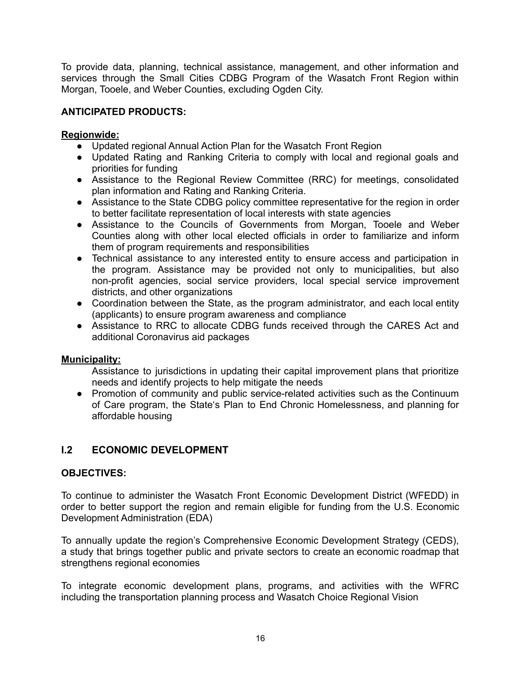To provide data, planning, technical assistance, management, and other information and services through the Small Cities CDBG Program of the Wasatch Front Region within Morgan, Tooele, and Weber Counties, excluding Ogden City.

## **ANTICIPATED PRODUCTS:**

#### **Regionwide:**

- Updated regional Annual Action Plan for the Wasatch Front Region
- Updated Rating and Ranking Criteria to comply with local and regional goals and priorities for funding
- Assistance to the Regional Review Committee (RRC) for meetings, consolidated plan information and Rating and Ranking Criteria.
- Assistance to the State CDBG policy committee representative for the region in order to better facilitate representation of local interests with state agencies
- Assistance to the Councils of Governments from Morgan, Tooele and Weber Counties along with other local elected officials in order to familiarize and inform them of program requirements and responsibilities
- Technical assistance to any interested entity to ensure access and participation in the program. Assistance may be provided not only to municipalities, but also non-profit agencies, social service providers, local special service improvement districts, and other organizations
- Coordination between the State, as the program administrator, and each local entity (applicants) to ensure program awareness and compliance
- Assistance to RRC to allocate CDBG funds received through the CARES Act and additional Coronavirus aid packages

#### **Municipality:**

Assistance to jurisdictions in updating their capital improvement plans that prioritize needs and identify projects to help mitigate the needs

● Promotion of community and public service-related activities such as the Continuum of Care program, the State's Plan to End Chronic Homelessness, and planning for affordable housing

# **I.2 ECONOMIC DEVELOPMENT**

#### **OBJECTIVES:**

To continue to administer the Wasatch Front Economic Development District (WFEDD) in order to better support the region and remain eligible for funding from the U.S. Economic Development Administration (EDA)

To annually update the region's Comprehensive Economic Development Strategy (CEDS), a study that brings together public and private sectors to create an economic roadmap that strengthens regional economies

To integrate economic development plans, programs, and activities with the WFRC including the transportation planning process and Wasatch Choice Regional Vision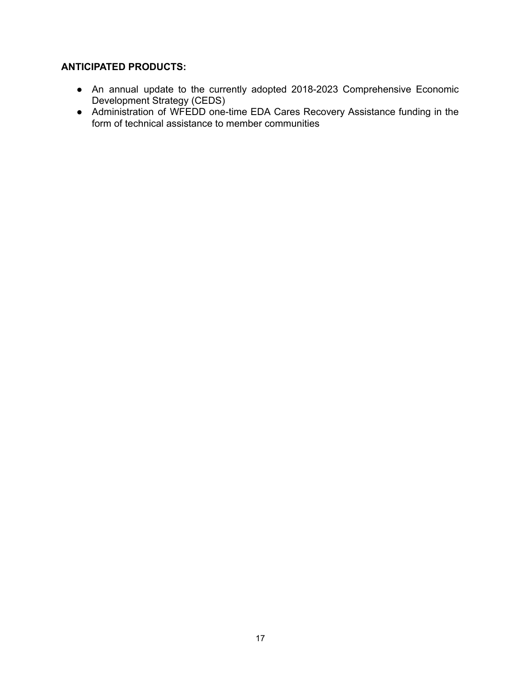- An annual update to the currently adopted 2018-2023 Comprehensive Economic Development Strategy (CEDS)
- Administration of WFEDD one-time EDA Cares Recovery Assistance funding in the form of technical assistance to member communities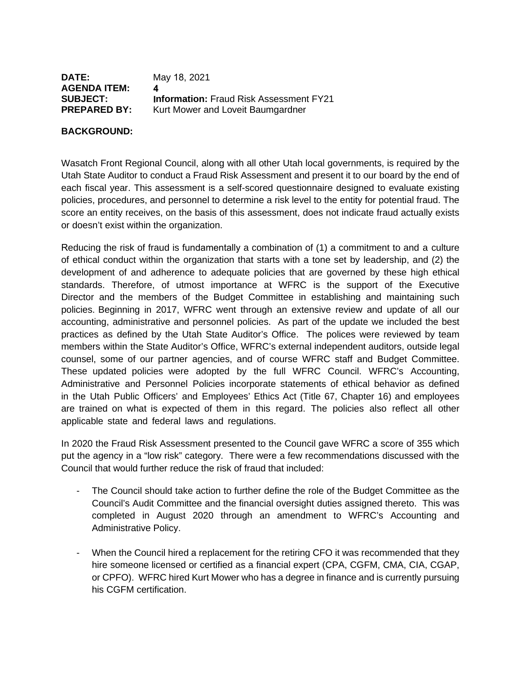| <b>DATE:</b>        | May 18, 2021                                   |
|---------------------|------------------------------------------------|
| <b>AGENDA ITEM:</b> |                                                |
| <b>SUBJECT:</b>     | <b>Information: Fraud Risk Assessment FY21</b> |
| <b>PREPARED BY:</b> | Kurt Mower and Loveit Baumgardner              |

#### **BACKGROUND:**

Wasatch Front Regional Council, along with all other Utah local governments, is required by the Utah State Auditor to conduct a Fraud Risk Assessment and present it to our board by the end of each fiscal year. This assessment is a self-scored questionnaire designed to evaluate existing policies, procedures, and personnel to determine a risk level to the entity for potential fraud. The score an entity receives, on the basis of this assessment, does not indicate fraud actually exists or doesn't exist within the organization.

Reducing the risk of fraud is fundamentally a combination of (1) a commitment to and a culture of ethical conduct within the organization that starts with a tone set by leadership, and (2) the development of and adherence to adequate policies that are governed by these high ethical standards. Therefore, of utmost importance at WFRC is the support of the Executive Director and the members of the Budget Committee in establishing and maintaining such policies. Beginning in 2017, WFRC went through an extensive review and update of all our accounting, administrative and personnel policies. As part of the update we included the best practices as defined by the Utah State Auditor's Office. The polices were reviewed by team members within the State Auditor's Office, WFRC's external independent auditors, outside legal counsel, some of our partner agencies, and of course WFRC staff and Budget Committee. These updated policies were adopted by the full WFRC Council. WFRC's Accounting, Administrative and Personnel Policies incorporate statements of ethical behavior as defined in the Utah Public Officers' and Employees' Ethics Act (Title 67, Chapter 16) and employees are trained on what is expected of them in this regard. The policies also reflect all other applicable state and federal laws and regulations.

In 2020 the Fraud Risk Assessment presented to the Council gave WFRC a score of 355 which put the agency in a "low risk" category. There were a few recommendations discussed with the Council that would further reduce the risk of fraud that included:

- The Council should take action to further define the role of the Budget Committee as the Council's Audit Committee and the financial oversight duties assigned thereto. This was completed in August 2020 through an amendment to WFRC's Accounting and Administrative Policy.
- When the Council hired a replacement for the retiring CFO it was recommended that they hire someone licensed or certified as a financial expert (CPA, CGFM, CMA, CIA, CGAP, or CPFO). WFRC hired Kurt Mower who has a degree in finance and is currently pursuing his CGFM certification.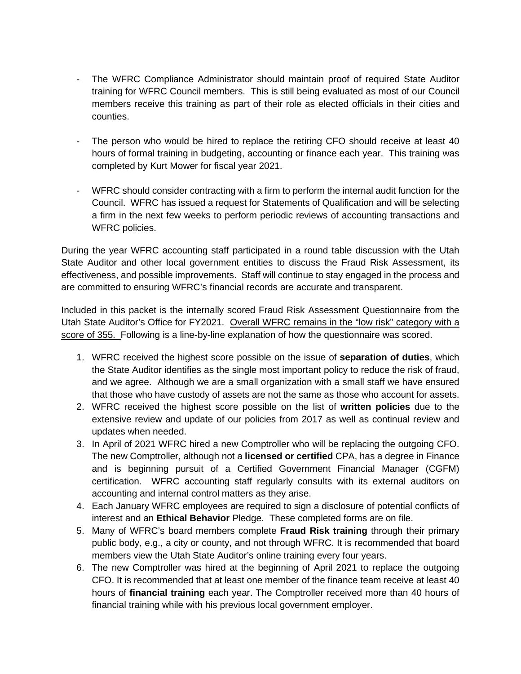- The WFRC Compliance Administrator should maintain proof of required State Auditor training for WFRC Council members. This is still being evaluated as most of our Council members receive this training as part of their role as elected officials in their cities and counties.
- The person who would be hired to replace the retiring CFO should receive at least 40 hours of formal training in budgeting, accounting or finance each year. This training was completed by Kurt Mower for fiscal year 2021.
- WFRC should consider contracting with a firm to perform the internal audit function for the Council. WFRC has issued a request for Statements of Qualification and will be selecting a firm in the next few weeks to perform periodic reviews of accounting transactions and WFRC policies.

During the year WFRC accounting staff participated in a round table discussion with the Utah State Auditor and other local government entities to discuss the Fraud Risk Assessment, its effectiveness, and possible improvements. Staff will continue to stay engaged in the process and are committed to ensuring WFRC's financial records are accurate and transparent.

Included in this packet is the internally scored Fraud Risk Assessment Questionnaire from the Utah State Auditor's Office for FY2021. Overall WFRC remains in the "low risk" category with a score of 355. Following is a line-by-line explanation of how the questionnaire was scored.

- 1. WFRC received the highest score possible on the issue of **separation of duties**, which the State Auditor identifies as the single most important policy to reduce the risk of fraud, and we agree. Although we are a small organization with a small staff we have ensured that those who have custody of assets are not the same as those who account for assets.
- 2. WFRC received the highest score possible on the list of **written policies** due to the extensive review and update of our policies from 2017 as well as continual review and updates when needed.
- 3. In April of 2021 WFRC hired a new Comptroller who will be replacing the outgoing CFO. The new Comptroller, although not a **licensed or certified** CPA, has a degree in Finance and is beginning pursuit of a Certified Government Financial Manager (CGFM) certification. WFRC accounting staff regularly consults with its external auditors on accounting and internal control matters as they arise.
- 4. Each January WFRC employees are required to sign a disclosure of potential conflicts of interest and an **Ethical Behavior** Pledge. These completed forms are on file.
- 5. Many of WFRC's board members complete **Fraud Risk training** through their primary public body, e.g., a city or county, and not through WFRC. It is recommended that board members view the Utah State Auditor's online training every four years.
- 6. The new Comptroller was hired at the beginning of April 2021 to replace the outgoing CFO. It is recommended that at least one member of the finance team receive at least 40 hours of **financial training** each year. The Comptroller received more than 40 hours of financial training while with his previous local government employer.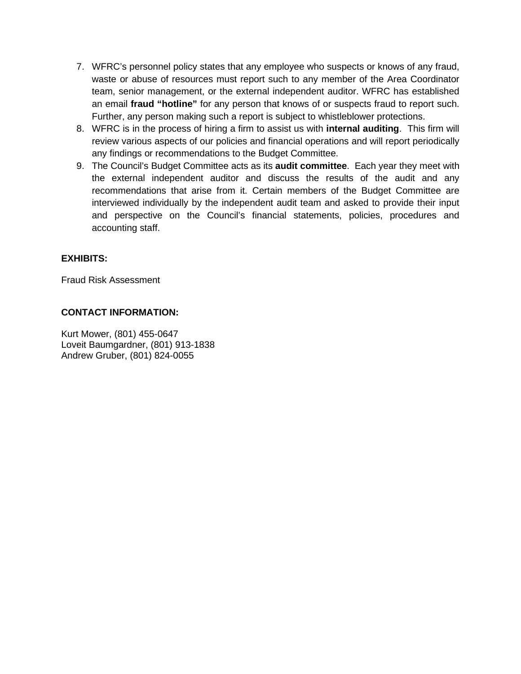- 7. WFRC's personnel policy states that any employee who suspects or knows of any fraud, waste or abuse of resources must report such to any member of the Area Coordinator team, senior management, or the external independent auditor. WFRC has established an email **fraud "hotline"** for any person that knows of or suspects fraud to report such. Further, any person making such a report is subject to whistleblower protections.
- 8. WFRC is in the process of hiring a firm to assist us with **internal auditing**. This firm will review various aspects of our policies and financial operations and will report periodically any findings or recommendations to the Budget Committee.
- 9. The Council's Budget Committee acts as its **audit committee**. Each year they meet with the external independent auditor and discuss the results of the audit and any recommendations that arise from it. Certain members of the Budget Committee are interviewed individually by the independent audit team and asked to provide their input and perspective on the Council's financial statements, policies, procedures and accounting staff.

#### **EXHIBITS:**

Fraud Risk Assessment

#### **CONTACT INFORMATION:**

Kurt Mower, (801) 455-0647 Loveit Baumgardner, (801) 913-1838 Andrew Gruber, (801) 824-0055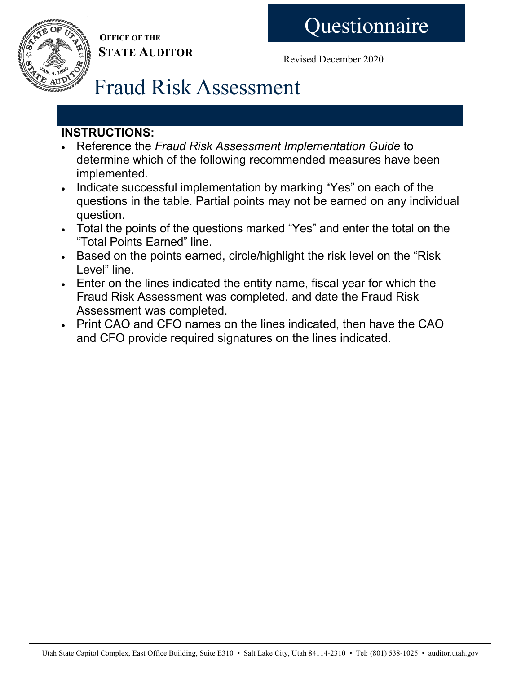**OFFICE OF THE STATE AUDITOR**

Revised December 2020

# Fraud Risk Assessment

# **INSTRUCTIONS:**

- Reference the *Fraud Risk Assessment Implementation Guide* to determine which of the following recommended measures have been implemented.
- Indicate successful implementation by marking "Yes" on each of the questions in the table. Partial points may not be earned on any individual question.
- Total the points of the questions marked "Yes" and enter the total on the "Total Points Earned" line.
- Based on the points earned, circle/highlight the risk level on the "Risk Level" line.
- Enter on the lines indicated the entity name, fiscal year for which the Fraud Risk Assessment was completed, and date the Fraud Risk Assessment was completed.
- Print CAO and CFO names on the lines indicated, then have the CAO and CFO provide required signatures on the lines indicated.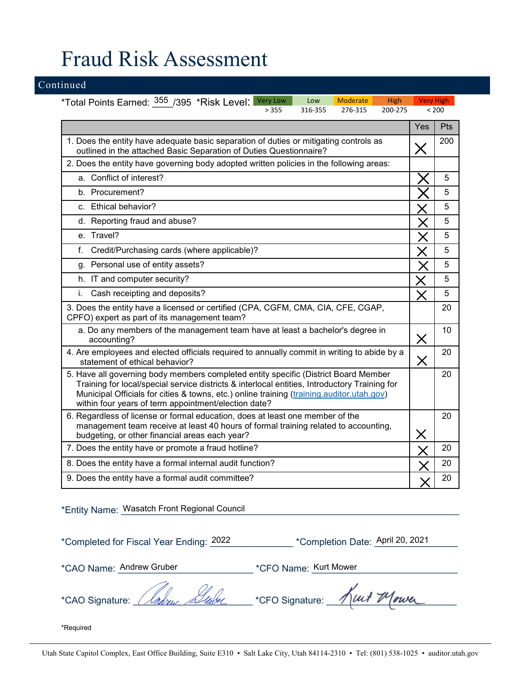# Fraud Risk Assessment

#### Continued

\*Total Points Earned: \_\_\_\_/395 \*Risk Level: 355 Very Low | Low | Moderate | High | Very High > 355 316-355 276-315 200-275 < 200

|                                                                                                                                                                                                                                                                                                                                           | Yes               | Pts |
|-------------------------------------------------------------------------------------------------------------------------------------------------------------------------------------------------------------------------------------------------------------------------------------------------------------------------------------------|-------------------|-----|
| 1. Does the entity have adequate basic separation of duties or mitigating controls as<br>outlined in the attached Basic Separation of Duties Questionnaire?                                                                                                                                                                               | $\bm{\mathsf{X}}$ | 200 |
| 2. Does the entity have governing body adopted written policies in the following areas:                                                                                                                                                                                                                                                   |                   |     |
| a. Conflict of interest?                                                                                                                                                                                                                                                                                                                  |                   | 5   |
| b. Procurement?                                                                                                                                                                                                                                                                                                                           |                   | 5   |
| c. Ethical behavior?                                                                                                                                                                                                                                                                                                                      |                   | 5   |
| d. Reporting fraud and abuse?                                                                                                                                                                                                                                                                                                             |                   | 5   |
| e. Travel?                                                                                                                                                                                                                                                                                                                                |                   | 5   |
| Credit/Purchasing cards (where applicable)?<br>$f_{\cdot}$                                                                                                                                                                                                                                                                                |                   | 5   |
| g. Personal use of entity assets?                                                                                                                                                                                                                                                                                                         |                   | 5   |
| h. IT and computer security?                                                                                                                                                                                                                                                                                                              |                   | 5   |
| Cash receipting and deposits?<br>i.                                                                                                                                                                                                                                                                                                       | $\times$          | 5   |
| 3. Does the entity have a licensed or certified (CPA, CGFM, CMA, CIA, CFE, CGAP,<br>CPFO) expert as part of its management team?                                                                                                                                                                                                          |                   | 20  |
| a. Do any members of the management team have at least a bachelor's degree in<br>accounting?                                                                                                                                                                                                                                              | $\times$          | 10  |
| 4. Are employees and elected officials required to annually commit in writing to abide by a<br>statement of ethical behavior?                                                                                                                                                                                                             | X                 | 20  |
| 5. Have all governing body members completed entity specific (District Board Member<br>Training for local/special service districts & interlocal entities, Introductory Training for<br>Municipal Officials for cities & towns, etc.) online training (training.auditor.utah.gov)<br>within four years of term appointment/election date? |                   | 20  |
| 6. Regardless of license or formal education, does at least one member of the<br>management team receive at least 40 hours of formal training related to accounting,<br>budgeting, or other financial areas each year?                                                                                                                    | $\times$          | 20  |
| 7. Does the entity have or promote a fraud hotline?                                                                                                                                                                                                                                                                                       |                   | 20  |
| 8. Does the entity have a formal internal audit function?                                                                                                                                                                                                                                                                                 |                   | 20  |
| 9. Does the entity have a formal audit committee?                                                                                                                                                                                                                                                                                         |                   | 20  |

\*Entity Name: \_\_\_\_\_\_\_\_\_\_\_\_\_\_\_\_\_\_\_\_\_\_\_\_\_\_\_\_\_\_\_\_\_\_\_\_\_\_\_\_\_\_\_\_\_\_\_\_\_\_\_\_\_\_\_\_\_\_\_\_\_\_\_\_\_ Wasatch Front Regional Council

\*Completed for Fiscal Year Ending: 2022

\*Completion Date: April 20, 2021

\*CAO Name: Andrew Gruber

\*CFO Name: Kurt Mower

\*CAO Signature: *Clabus Blube* - \*CFO Signature: Kut Mowe

\*Required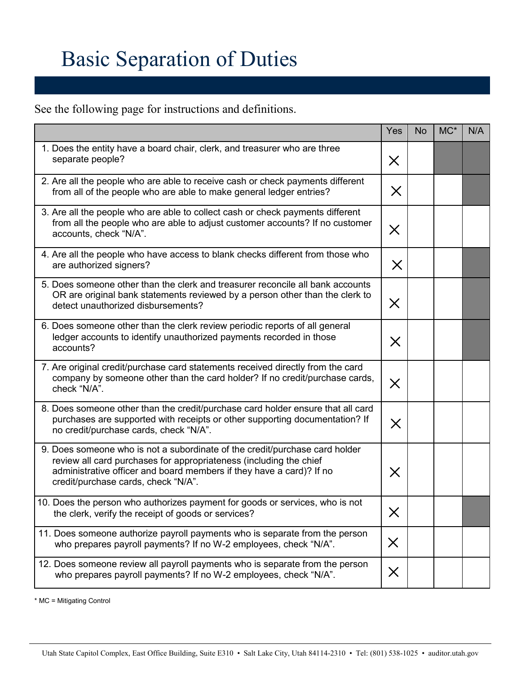# Basic Separation of Duties

See the following page for instructions and definitions.

|                                                                                                                                                                                                                                                                  | Yes      | <b>No</b> | $MC^*$ | N/A |
|------------------------------------------------------------------------------------------------------------------------------------------------------------------------------------------------------------------------------------------------------------------|----------|-----------|--------|-----|
| 1. Does the entity have a board chair, clerk, and treasurer who are three<br>separate people?                                                                                                                                                                    | $\times$ |           |        |     |
| 2. Are all the people who are able to receive cash or check payments different<br>from all of the people who are able to make general ledger entries?                                                                                                            | $\times$ |           |        |     |
| 3. Are all the people who are able to collect cash or check payments different<br>from all the people who are able to adjust customer accounts? If no customer<br>accounts, check "N/A".                                                                         | $\times$ |           |        |     |
| 4. Are all the people who have access to blank checks different from those who<br>are authorized signers?                                                                                                                                                        | $\times$ |           |        |     |
| 5. Does someone other than the clerk and treasurer reconcile all bank accounts<br>OR are original bank statements reviewed by a person other than the clerk to<br>detect unauthorized disbursements?                                                             | $\times$ |           |        |     |
| 6. Does someone other than the clerk review periodic reports of all general<br>ledger accounts to identify unauthorized payments recorded in those<br>accounts?                                                                                                  | $\times$ |           |        |     |
| 7. Are original credit/purchase card statements received directly from the card<br>company by someone other than the card holder? If no credit/purchase cards,<br>check "N/A".                                                                                   | $\times$ |           |        |     |
| 8. Does someone other than the credit/purchase card holder ensure that all card<br>purchases are supported with receipts or other supporting documentation? If<br>no credit/purchase cards, check "N/A".                                                         | $\times$ |           |        |     |
| 9. Does someone who is not a subordinate of the credit/purchase card holder<br>review all card purchases for appropriateness (including the chief<br>administrative officer and board members if they have a card)? If no<br>credit/purchase cards, check "N/A". | $\times$ |           |        |     |
| 10. Does the person who authorizes payment for goods or services, who is not<br>the clerk, verify the receipt of goods or services?                                                                                                                              | $\times$ |           |        |     |
| 11. Does someone authorize payroll payments who is separate from the person<br>who prepares payroll payments? If no W-2 employees, check "N/A".                                                                                                                  | $\times$ |           |        |     |
| 12. Does someone review all payroll payments who is separate from the person<br>who prepares payroll payments? If no W-2 employees, check "N/A".                                                                                                                 | $\times$ |           |        |     |

\* MC = Mitigating Control